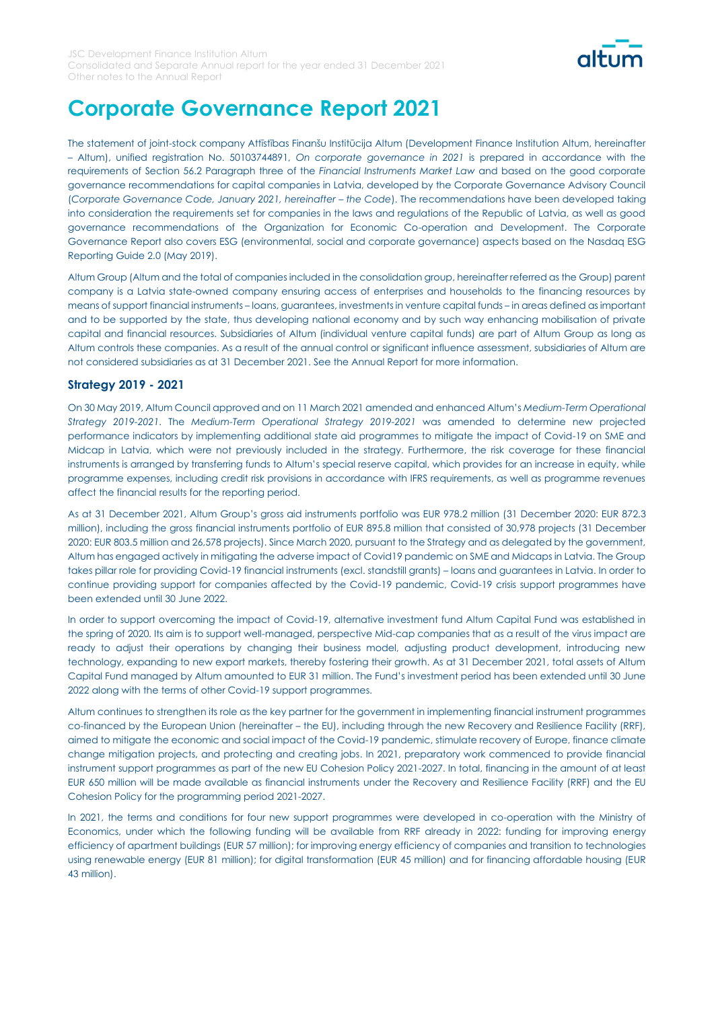

## **Corporate Governance Report 2021**

The statement of joint-stock company Attīstības Finanšu Institūcija Altum (Development Finance Institution Altum, hereinafter – Altum), unified registration No. 50103744891, *On corporate governance in 2021* is prepared in accordance with the requirements of Section 56.2 Paragraph three of the *Financial Instruments Market Law* and based on the good corporate governance recommendations for capital companies in Latvia, developed by the Corporate Governance Advisory Council (Corporate Governance Code, January 2021, hereinafter - the Code). The recommendations have been developed taking into consideration the requirements set for companies in the laws and regulations of the Republic of Latvia, as well as good governance recommendations of the Organization for Economic Co-operation and Development. The Corporate Governance Report also covers ESG (environmental, social and corporate governance) aspects based on the Nasdaq ESG Reporting Guide 2.0 (May 2019).

Altum Group (Altum and the total of companies included in the consolidation group, hereinafter referred as the Group) parent company is a Latvia state-owned company ensuring access of enterprises and households to the financing resources by means of support financial instruments – loans, guarantees, investments in venture capital funds – in areas defined as important and to be supported by the state, thus developing national economy and by such way enhancing mobilisation of private capital and financial resources. Subsidiaries of Altum (individual venture capital funds) are part of Altum Group as long as Altum controls these companies. As a result of the annual control or significant influence assessment, subsidiaries of Altum are not considered subsidiaries as at 31 December 2021. See the Annual Report for more information.

### **Strategy 2019 - 2021**

On 30 May 2019, Altum Council approved and on 11 March 2021 amended and enhanced Altum's *Medium-Term Operational Strategy 2019-2021*. The *Medium-Term Operational Strategy 2019-2021* was amended to determine new projected performance indicators by implementing additional state aid programmes to mitigate the impact of Covid-19 on SME and Midcap in Latvia, which were not previously included in the strategy. Furthermore, the risk coverage for these financial instruments is arranged by transferring funds to Altum's special reserve capital, which provides for an increase in equity, while programme expenses, including credit risk provisions in accordance with IFRS requirements, as well as programme revenues affect the financial results for the reporting period.

As at 31 December 2021, Altum Group's gross aid instruments portfolio was EUR 978.2 million (31 December 2020: EUR 872.3 million), including the gross financial instruments portfolio of EUR 895.8 million that consisted of 30,978 projects (31 December 2020: EUR 803.5 million and 26,578 projects). Since March 2020, pursuant to the Strategy and as delegated by the government, Altum has engaged actively in mitigating the adverse impact of Covid19 pandemic on SME and Midcaps in Latvia. The Group takes pillar role for providing Covid-19 financial instruments (excl. standstill grants) – loans and guarantees in Latvia. In order to continue providing support for companies affected by the Covid-19 pandemic, Covid-19 crisis support programmes have been extended until 30 June 2022.

In order to support overcoming the impact of Covid-19, alternative investment fund Altum Capital Fund was established in the spring of 2020. Its aim is to support well-managed, perspective Mid-cap companies that as a result of the virus impact are ready to adjust their operations by changing their business model, adjusting product development, introducing new technology, expanding to new export markets, thereby fostering their growth. As at 31 December 2021, total assets of Altum Capital Fund managed by Altum amounted to EUR 31 million. The Fund's investment period has been extended until 30 June 2022 along with the terms of other Covid-19 support programmes.

Altum continues to strengthen its role as the key partner for the government in implementing financial instrument programmes co-financed by the European Union (hereinafter – the EU), including through the new Recovery and Resilience Facility (RRF), aimed to mitigate the economic and social impact of the Covid-19 pandemic, stimulate recovery of Europe, finance climate change mitigation projects, and protecting and creating jobs. In 2021, preparatory work commenced to provide financial instrument support programmes as part of the new EU Cohesion Policy 2021-2027. In total, financing in the amount of at least EUR 650 million will be made available as financial instruments under the Recovery and Resilience Facility (RRF) and the EU Cohesion Policy for the programming period 2021-2027.

In 2021, the terms and conditions for four new support programmes were developed in co-operation with the Ministry of Economics, under which the following funding will be available from RRF already in 2022: funding for improving energy efficiency of apartment buildings (EUR 57 million); for improving energy efficiency of companies and transition to technologies using renewable energy (EUR 81 million); for digital transformation (EUR 45 million) and for financing affordable housing (EUR 43 million).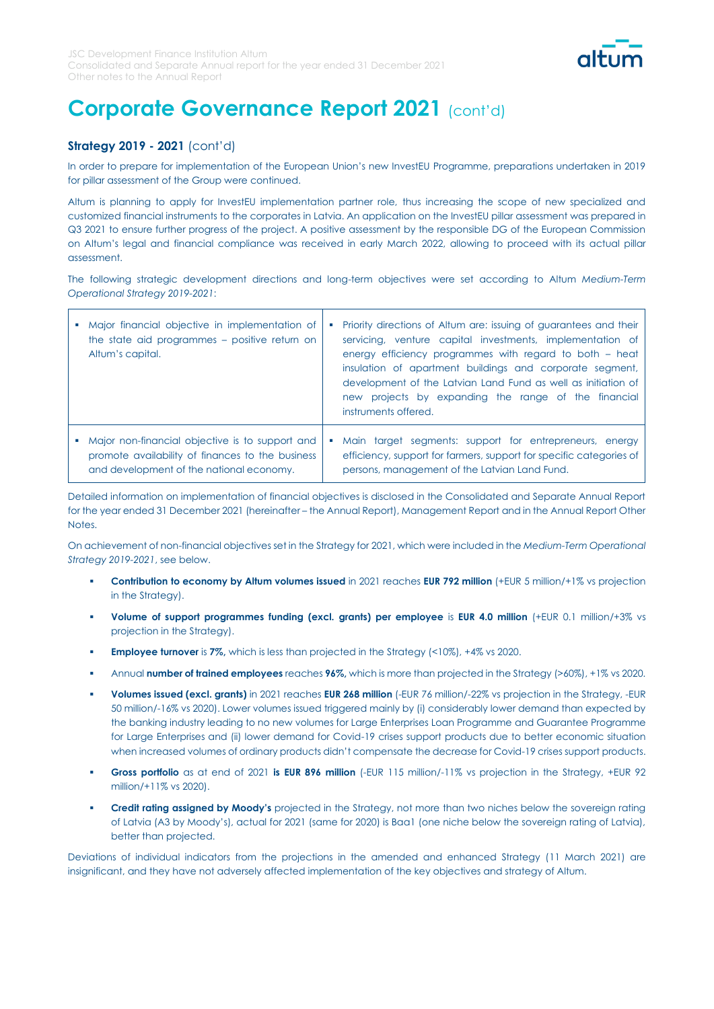

### **Strategy 2019 - 2021** (cont'd)

In order to prepare for implementation of the European Union's new InvestEU Programme, preparations undertaken in 2019 for pillar assessment of the Group were continued.

Altum is planning to apply for InvestEU implementation partner role, thus increasing the scope of new specialized and customized financial instruments to the corporates in Latvia. An application on the InvestEU pillar assessment was prepared in Q3 2021 to ensure further progress of the project. A positive assessment by the responsible DG of the European Commission on Altum's legal and financial compliance was received in early March 2022, allowing to proceed with its actual pillar assessment.

The following strategic development directions and long-term objectives were set according to Altum *Medium-Term Operational Strategy 2019-2021*:

| Major financial objective in implementation of<br>the state aid programmes – positive return on<br>Altum's capital.                             | Priority directions of Altum are: issuing of guarantees and their<br>servicing, venture capital investments, implementation of<br>energy efficiency programmes with regard to both - heat<br>insulation of apartment buildings and corporate segment,<br>development of the Latvian Land Fund as well as initiation of<br>new projects by expanding the range of the financial<br>instruments offered. |
|-------------------------------------------------------------------------------------------------------------------------------------------------|--------------------------------------------------------------------------------------------------------------------------------------------------------------------------------------------------------------------------------------------------------------------------------------------------------------------------------------------------------------------------------------------------------|
| Major non-financial objective is to support and<br>promote availability of finances to the business<br>and development of the national economy. | Main target segments: support for entrepreneurs, energy<br>efficiency, support for farmers, support for specific categories of<br>persons, management of the Latvian Land Fund.                                                                                                                                                                                                                        |

Detailed information on implementation of financial objectives is disclosed in the Consolidated and Separate Annual Report for the year ended 31 December 2021 (hereinafter – the Annual Report), Management Report and in the Annual Report Other Notes.

On achievement of non-financial objectives set in the Strategy for 2021, which were included in the *Medium-Term Operational Strategy 2019-2021*, see below.

- **Contribution to economy by Altum volumes issued** in 2021 reaches **EUR 792 million** (+EUR 5 million/+1% vs projection in the Strategy).
- **Volume of support programmes funding (excl. grants) per employee is EUR 4.0 million (+EUR 0.1 million/+3% vs** projection in the Strategy).
- **Employee turnover** is 7%, which is less than projected in the Strategy (<10%), +4% vs 2020.
- Annual **number of trained employees** reaches **96%,** which is more than projected in the Strategy (>60%), +1% vs 2020.
- Volumes issued (excl. grants) in 2021 reaches **EUR 268 million** (-EUR 76 million/-22% vs projection in the Strategy, -EUR 50 million/-16% vs 2020). Lower volumes issued triggered mainly by (i) considerably lower demand than expected by the banking industry leading to no new volumes for Large Enterprises Loan Programme and Guarantee Programme for Large Enterprises and (ii) lower demand for Covid-19 crises support products due to better economic situation when increased volumes of ordinary products didn't compensate the decrease for Covid-19 crises support products.
- Gross portfolio as at end of 2021 is EUR 896 million (-EUR 115 million/-11% vs projection in the Strategy, +EUR 92 million/+11% vs 2020).
- **Credit rating assigned by Moody's** projected in the Strategy, not more than two niches below the sovereign rating of Latvia (A3 by Moody's), actual for 2021 (same for 2020) is Baa1 (one niche below the sovereign rating of Latvia), better than projected.

Deviations of individual indicators from the projections in the amended and enhanced Strategy (11 March 2021) are insignificant, and they have not adversely affected implementation of the key objectives and strategy of Altum.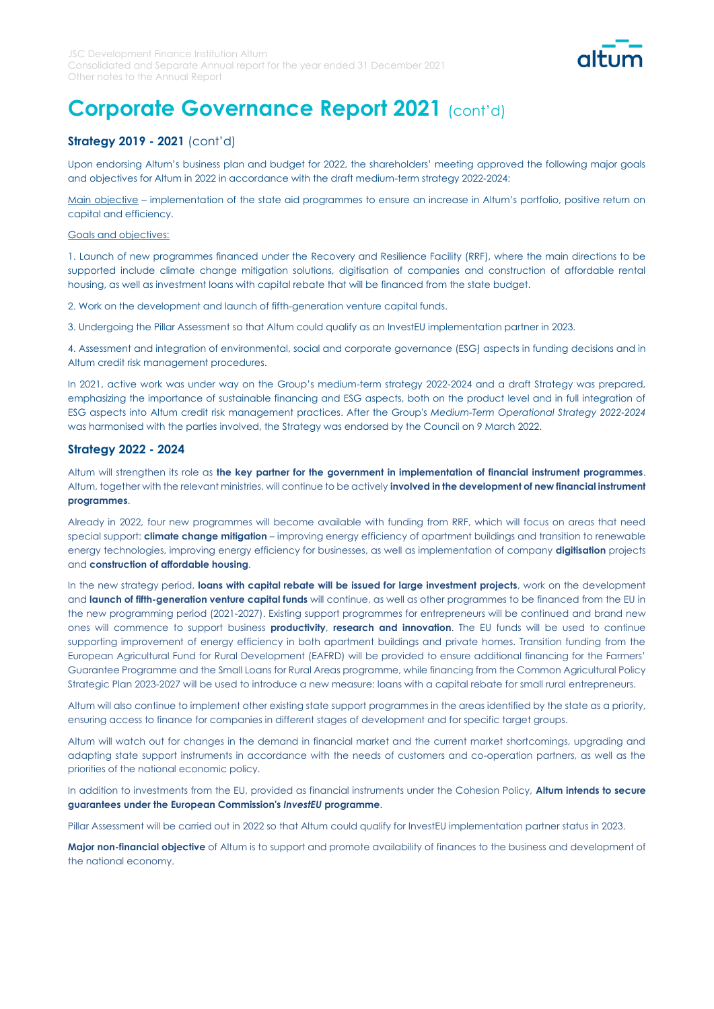

## **Strategy 2019 - 2021** (cont'd)

Upon endorsing Altum's business plan and budget for 2022, the shareholders' meeting approved the following major goals and objectives for Altum in 2022 in accordance with the draft medium-term strategy 2022-2024:

Main objective – implementation of the state aid programmes to ensure an increase in Altum's portfolio, positive return on capital and efficiency.

#### Goals and objectives:

1. Launch of new programmes financed under the Recovery and Resilience Facility (RRF), where the main directions to be supported include climate change mitigation solutions, digitisation of companies and construction of affordable rental housing, as well as investment loans with capital rebate that will be financed from the state budget.

2. Work on the development and launch of fifth-generation venture capital funds.

3. Undergoing the Pillar Assessment so that Altum could qualify as an InvestEU implementation partner in 2023.

4. Assessment and integration of environmental, social and corporate governance (ESG) aspects in funding decisions and in Altum credit risk management procedures.

In 2021, active work was under way on the Group's medium-term strategy 2022-2024 and a draft Strategy was prepared, emphasizing the importance of sustainable financing and ESG aspects, both on the product level and in full integration of ESG aspects into Altum credit risk management practices. After the Group's *Medium-Term Operational Strategy 2022-2024* was harmonised with the parties involved, the Strategy was endorsed by the Council on 9 March 2022.

### **Strategy 2022 - 2024**

Altum will strengthen its role as **the key partner for the government in implementation of financial instrument programmes**. Altum, together with the relevant ministries, will continue to be actively **involved in the development of new financial instrument programmes**.

Already in 2022, four new programmes will become available with funding from RRF, which will focus on areas that need special support: **climate change mitigation** – improving energy efficiency of apartment buildings and transition to renewable energy technologies, improving energy efficiency for businesses, as well as implementation of company **digitisation** projects and **construction of affordable housing**.

In the new strategy period, **loans with capital rebate will be issued for large investment projects**, work on the development and **launch of fifth-generation venture capital funds** will continue, as well as other programmes to be financed from the EU in the new programming period (2021-2027). Existing support programmes for entrepreneurs will be continued and brand new ones will commence to support business **productivity**, **research and innovation**. The EU funds will be used to continue supporting improvement of energy efficiency in both apartment buildings and private homes. Transition funding from the European Agricultural Fund for Rural Development (EAFRD) will be provided to ensure additional financing for the Farmers' Guarantee Programme and the Small Loans for Rural Areas programme, while financing from the Common Agricultural Policy Strategic Plan 2023-2027 will be used to introduce a new measure: loans with a capital rebate for small rural entrepreneurs.

Altum will also continue to implement other existing state support programmes in the areas identified by the state as a priority, ensuring access to finance for companies in different stages of development and for specific target groups.

Altum will watch out for changes in the demand in financial market and the current market shortcomings, upgrading and adapting state support instruments in accordance with the needs of customers and co-operation partners, as well as the priorities of the national economic policy.

In addition to investments from the EU, provided as financial instruments under the Cohesion Policy, **Altum intends to secure guarantees under the European Commission's** *InvestEU* **programme**.

Pillar Assessment will be carried out in 2022 so that Altum could qualify for InvestEU implementation partner status in 2023.

**Major non-financial objective** of Altum is to support and promote availability of finances to the business and development of the national economy.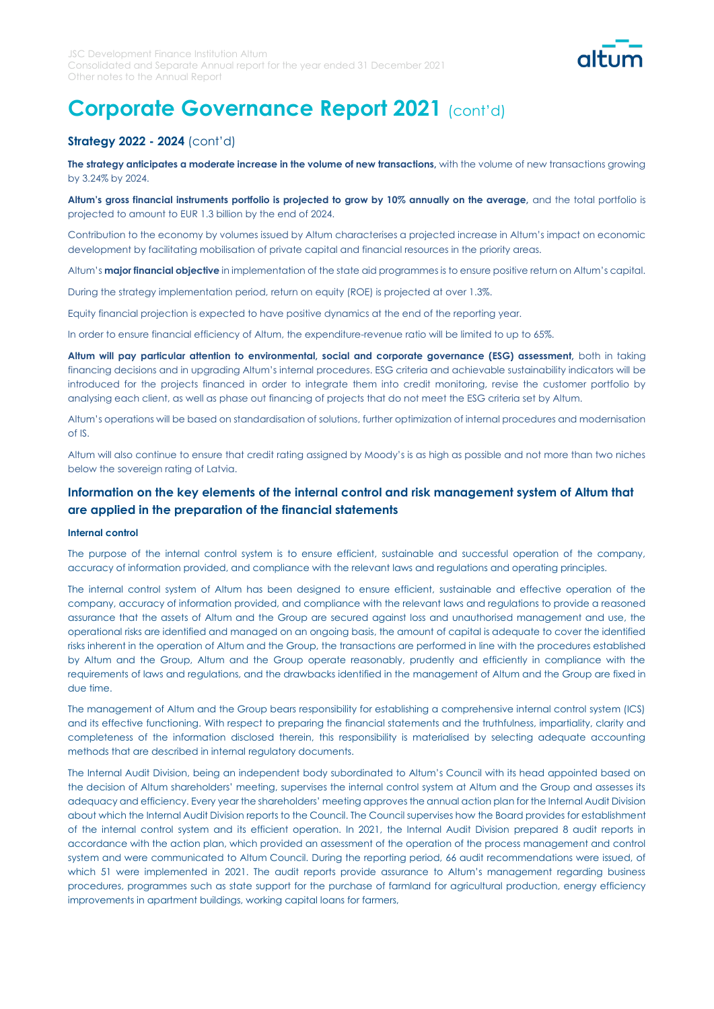

### **Strategy 2022 - 2024** (cont'd)

The strategy anticipates a moderate increase in the volume of new transactions, with the volume of new transactions growing by 3.24% by 2024.

**Altum's gross financial instruments portfolio is projected to grow by 10% annually on the average,** and the total portfolio is projected to amount to EUR 1.3 billion by the end of 2024.

Contribution to the economy by volumes issued by Altum characterises a projected increase in Altum's impact on economic development by facilitating mobilisation of private capital and financial resources in the priority areas.

Altum's **major financial objective** in implementation of the state aid programmes is to ensure positive return on Altum's capital.

During the strategy implementation period, return on equity (ROE) is projected at over 1.3%.

Equity financial projection is expected to have positive dynamics at the end of the reporting year.

In order to ensure financial efficiency of Altum, the expenditure-revenue ratio will be limited to up to 65%.

Altum will pay particular attention to environmental, social and corporate governance (ESG) assessment, both in taking financing decisions and in upgrading Altum's internal procedures. ESG criteria and achievable sustainability indicators will be introduced for the projects financed in order to integrate them into credit monitoring, revise the customer portfolio by analysing each client, as well as phase out financing of projects that do not meet the ESG criteria set by Altum.

Altum's operations will be based on standardisation of solutions, further optimization of internal procedures and modernisation of IS.

Altum will also continue to ensure that credit rating assigned by Moody's is as high as possible and not more than two niches below the sovereign rating of Latvia.

### **Information on the key elements of the internal control and risk management system of Altum that are applied in the preparation of the financial statements**

#### **Internal control**

The purpose of the internal control system is to ensure efficient, sustainable and successful operation of the company, accuracy of information provided, and compliance with the relevant laws and regulations and operating principles.

The internal control system of Altum has been designed to ensure efficient, sustainable and effective operation of the company, accuracy of information provided, and compliance with the relevant laws and regulations to provide a reasoned assurance that the assets of Altum and the Group are secured against loss and unauthorised management and use, the operational risks are identified and managed on an ongoing basis, the amount of capital is adequate to cover the identified risks inherent in the operation of Altum and the Group, the transactions are performed in line with the procedures established by Altum and the Group, Altum and the Group operate reasonably, prudently and efficiently in compliance with the requirements of laws and regulations, and the drawbacks identified in the management of Altum and the Group are fixed in due time.

The management of Altum and the Group bears responsibility for establishing a comprehensive internal control system (ICS) and its effective functioning. With respect to preparing the financial statements and the truthfulness, impartiality, clarity and completeness of the information disclosed therein, this responsibility is materialised by selecting adequate accounting methods that are described in internal regulatory documents.

The Internal Audit Division, being an independent body subordinated to Altum's Council with its head appointed based on the decision of Altum shareholders' meeting, supervises the internal control system at Altum and the Group and assesses its adequacy and efficiency. Every year the shareholders' meeting approves the annual action plan for the Internal Audit Division about which the Internal Audit Division reports to the Council. The Council supervises how the Board provides for establishment of the internal control system and its efficient operation. In 2021, the Internal Audit Division prepared 8 audit reports in accordance with the action plan, which provided an assessment of the operation of the process management and control system and were communicated to Altum Council. During the reporting period, 66 audit recommendations were issued, of which 51 were implemented in 2021. The audit reports provide assurance to Altum's management regarding business procedures, programmes such as state support for the purchase of farmland for agricultural production, energy efficiency improvements in apartment buildings, working capital loans for farmers,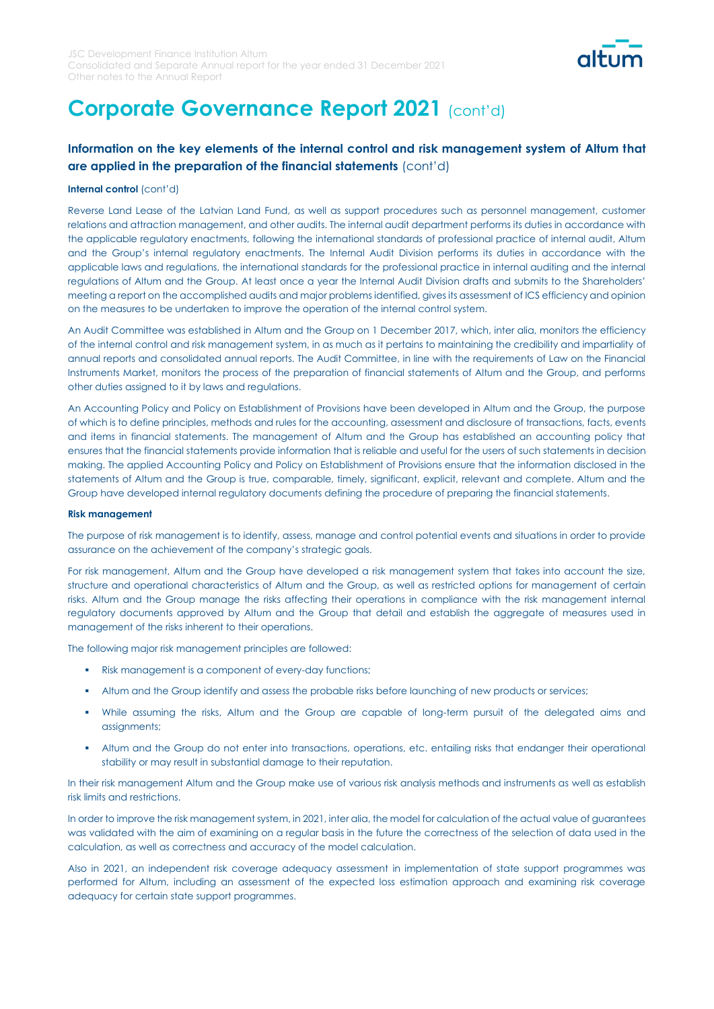

## **Information on the key elements of the internal control and risk management system of Altum that are applied in the preparation of the financial statements** (cont'd)

#### **Internal control** (cont'd)

Reverse Land Lease of the Latvian Land Fund, as well as support procedures such as personnel management, customer relations and attraction management, and other audits. The internal audit department performs its duties in accordance with the applicable regulatory enactments, following the international standards of professional practice of internal audit, Altum and the Group's internal regulatory enactments. The Internal Audit Division performs its duties in accordance with the applicable laws and regulations, the international standards for the professional practice in internal auditing and the internal regulations of Altum and the Group. At least once a year the Internal Audit Division drafts and submits to the Shareholders' meeting a report on the accomplished audits and major problems identified, gives its assessment of ICS efficiency and opinion on the measures to be undertaken to improve the operation of the internal control system.

An Audit Committee was established in Altum and the Group on 1 December 2017, which, inter alia, monitors the efficiency of the internal control and risk management system, in as much as it pertains to maintaining the credibility and impartiality of annual reports and consolidated annual reports. The Audit Committee, in line with the requirements of Law on the Financial Instruments Market, monitors the process of the preparation of financial statements of Altum and the Group, and performs other duties assigned to it by laws and regulations.

An Accounting Policy and Policy on Establishment of Provisions have been developed in Altum and the Group, the purpose of which is to define principles, methods and rules for the accounting, assessment and disclosure of transactions, facts, events and items in financial statements. The management of Altum and the Group has established an accounting policy that ensures that the financial statements provide information that is reliable and useful for the users of such statements in decision making. The applied Accounting Policy and Policy on Establishment of Provisions ensure that the information disclosed in the statements of Altum and the Group is true, comparable, timely, significant, explicit, relevant and complete. Altum and the Group have developed internal regulatory documents defining the procedure of preparing the financial statements.

#### **Risk management**

The purpose of risk management is to identify, assess, manage and control potential events and situations in order to provide assurance on the achievement of the company's strategic goals.

For risk management, Altum and the Group have developed a risk management system that takes into account the size, structure and operational characteristics of Altum and the Group, as well as restricted options for management of certain risks. Altum and the Group manage the risks affecting their operations in compliance with the risk management internal regulatory documents approved by Altum and the Group that detail and establish the aggregate of measures used in management of the risks inherent to their operations.

The following major risk management principles are followed:

- Risk management is a component of every-day functions;
- Altum and the Group identify and assess the probable risks before launching of new products or services;
- While assuming the risks, Altum and the Group are capable of long-term pursuit of the delegated aims and assignments;
- Altum and the Group do not enter into transactions, operations, etc. entailing risks that endanger their operational stability or may result in substantial damage to their reputation.

In their risk management Altum and the Group make use of various risk analysis methods and instruments as well as establish risk limits and restrictions.

In order to improve the risk management system, in 2021, inter alia, the model for calculation of the actual value of guarantees was validated with the aim of examining on a regular basis in the future the correctness of the selection of data used in the calculation, as well as correctness and accuracy of the model calculation.

Also in 2021, an independent risk coverage adequacy assessment in implementation of state support programmes was performed for Altum, including an assessment of the expected loss estimation approach and examining risk coverage adequacy for certain state support programmes.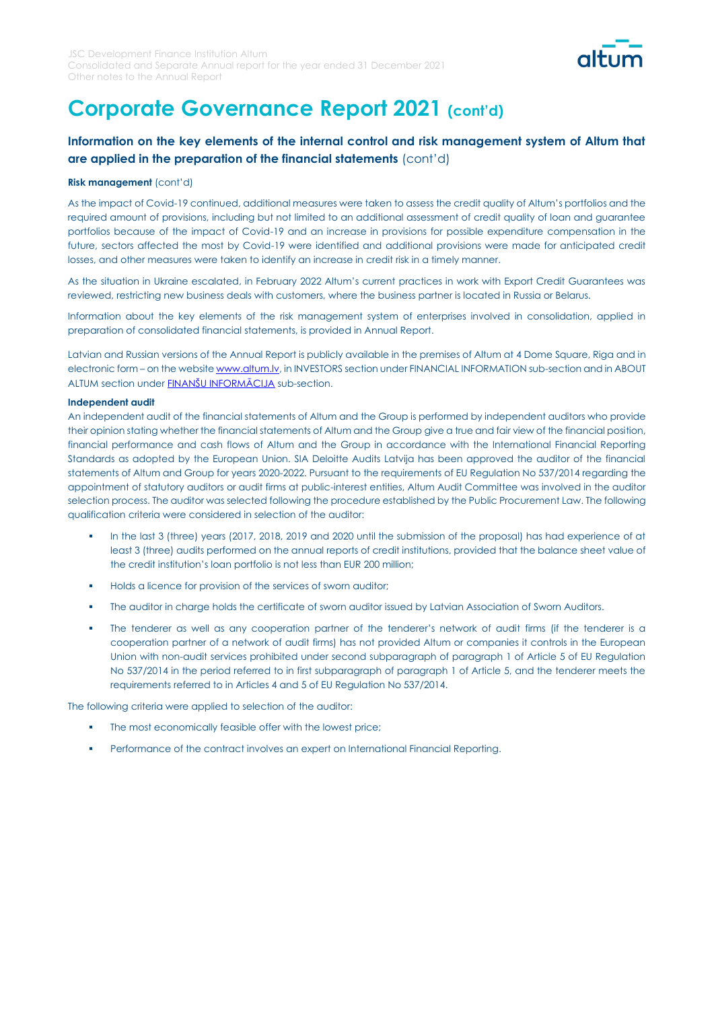

## **Information on the key elements of the internal control and risk management system of Altum that are applied in the preparation of the financial statements** (cont'd)

#### **Risk management** (cont'd)

As the impact of Covid-19 continued, additional measures were taken to assess the credit quality of Altum's portfolios and the required amount of provisions, including but not limited to an additional assessment of credit quality of loan and guarantee portfolios because of the impact of Covid-19 and an increase in provisions for possible expenditure compensation in the future, sectors affected the most by Covid-19 were identified and additional provisions were made for anticipated credit losses, and other measures were taken to identify an increase in credit risk in a timely manner.

As the situation in Ukraine escalated, in February 2022 Altum's current practices in work with Export Credit Guarantees was reviewed, restricting new business deals with customers, where the business partner is located in Russia or Belarus.

Information about the key elements of the risk management system of enterprises involved in consolidation, applied in preparation of consolidated financial statements, is provided in Annual Report.

Latvian and Russian versions of the Annual Report is publicly available in the premises of Altum at 4 Dome Square, Riga and in electronic form – on the websit[e www.altum.lv,](http://www.altum.lv/) in INVESTORS section under FINANCIAL INFORMATION sub-section and in ABOUT ALTUM section under **[FINANŠU INFORMĀCIJA](https://www.altum.lv/en/investors/financial-information/financial-information/)** sub-section.

#### **Independent audit**

An independent audit of the financial statements of Altum and the Group is performed by independent auditors who provide their opinion stating whether the financial statements of Altum and the Group give a true and fair view of the financial position, financial performance and cash flows of Altum and the Group in accordance with the International Financial Reporting Standards as adopted by the European Union. SIA Deloitte Audits Latvija has been approved the auditor of the financial statements of Altum and Group for years 2020-2022. Pursuant to the requirements of EU Regulation No 537/2014 regarding the appointment of statutory auditors or audit firms at public-interest entities, Altum Audit Committee was involved in the auditor selection process. The auditor was selected following the procedure established by the Public Procurement Law. The following qualification criteria were considered in selection of the auditor:

- In the last 3 (three) years (2017, 2018, 2019 and 2020 until the submission of the proposal) has had experience of at least 3 (three) audits performed on the annual reports of credit institutions, provided that the balance sheet value of the credit institution's loan portfolio is not less than EUR 200 million;
- Holds a licence for provision of the services of sworn auditor;
- The auditor in charge holds the certificate of sworn auditor issued by Latvian Association of Sworn Auditors.
- The tenderer as well as any cooperation partner of the tenderer's network of audit firms (if the tenderer is a cooperation partner of a network of audit firms) has not provided Altum or companies it controls in the European Union with non-audit services prohibited under second subparagraph of paragraph 1 of Article 5 of EU Regulation No 537/2014 in the period referred to in first subparagraph of paragraph 1 of Article 5, and the tenderer meets the requirements referred to in Articles 4 and 5 of EU Regulation No 537/2014.

The following criteria were applied to selection of the auditor:

- The most economically feasible offer with the lowest price;
- **•** Performance of the contract involves an expert on International Financial Reporting.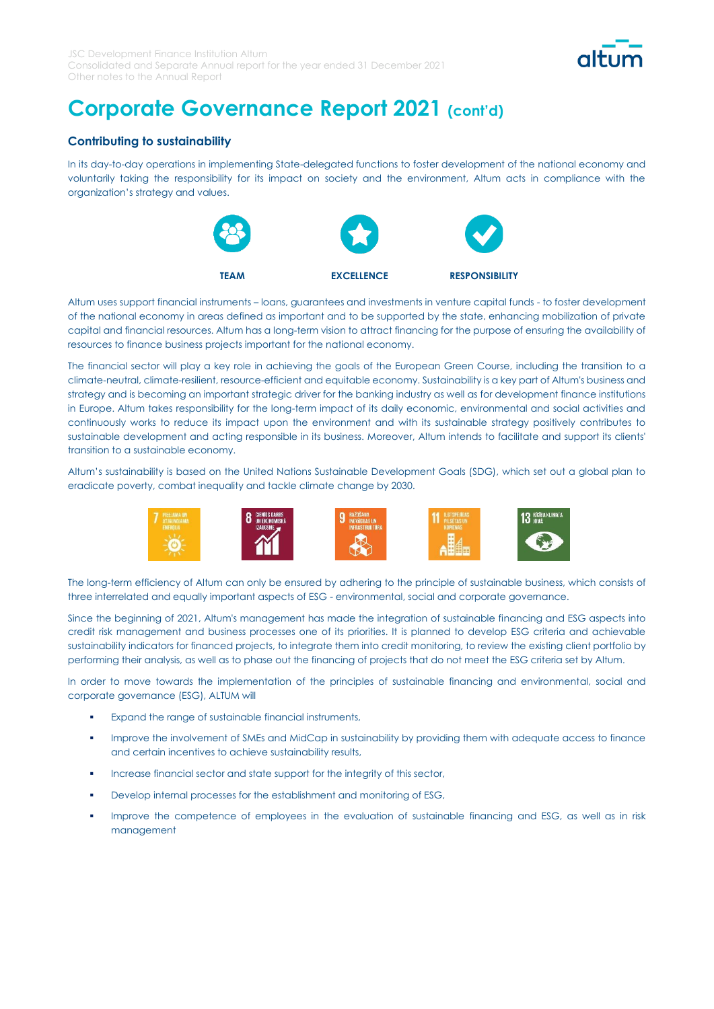

### **Contributing to sustainability**

In its day-to-day operations in implementing State-delegated functions to foster development of the national economy and voluntarily taking the responsibility for its impact on society and the environment, Altum acts in compliance with the organization's strategy and values.



Altum uses support financial instruments – loans, guarantees and investments in venture capital funds - to foster development of the national economy in areas defined as important and to be supported by the state, enhancing mobilization of private capital and financial resources. Altum has a long-term vision to attract financing for the purpose of ensuring the availability of resources to finance business projects important for the national economy.

The financial sector will play a key role in achieving the goals of the European Green Course, including the transition to a climate-neutral, climate-resilient, resource-efficient and equitable economy. Sustainability is a key part of Altum's business and strategy and is becoming an important strategic driver for the banking industry as well as for development finance institutions in Europe. Altum takes responsibility for the long-term impact of its daily economic, environmental and social activities and continuously works to reduce its impact upon the environment and with its sustainable strategy positively contributes to sustainable development and acting responsible in its business. Moreover, Altum intends to facilitate and support its clients' transition to a sustainable economy.

Altum's sustainability is based on the United Nations Sustainable Development Goals (SDG), which set out a global plan to eradicate poverty, combat inequality and tackle climate change by 2030.



The long-term efficiency of Altum can only be ensured by adhering to the principle of sustainable business, which consists of three interrelated and equally important aspects of ESG - environmental, social and corporate governance.

Since the beginning of 2021, Altum's management has made the integration of sustainable financing and ESG aspects into credit risk management and business processes one of its priorities. It is planned to develop ESG criteria and achievable sustainability indicators for financed projects, to integrate them into credit monitoring, to review the existing client portfolio by performing their analysis, as well as to phase out the financing of projects that do not meet the ESG criteria set by Altum.

In order to move towards the implementation of the principles of sustainable financing and environmental, social and corporate governance (ESG), ALTUM will

- Expand the range of sustainable financial instruments,
- **•** Improve the involvement of SMEs and MidCap in sustainability by providing them with adequate access to finance and certain incentives to achieve sustainability results,
- Increase financial sector and state support for the integrity of this sector,
- Develop internal processes for the establishment and monitoring of ESG,
- Improve the competence of employees in the evaluation of sustainable financing and ESG, as well as in risk management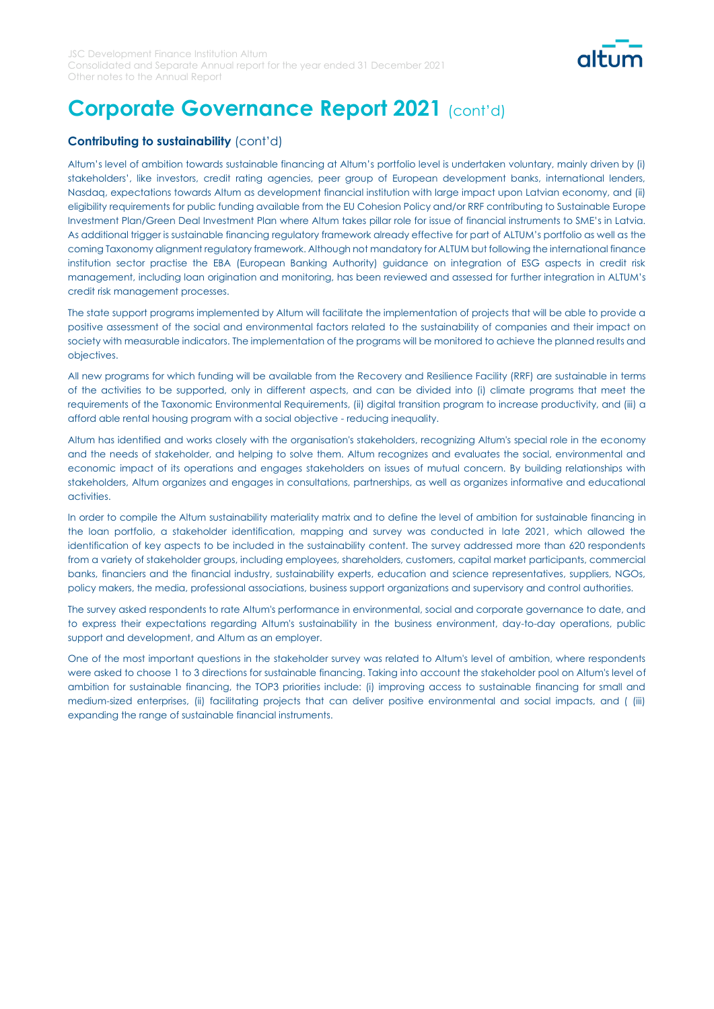

### **Contributing to sustainability** (cont'd)

Altum's level of ambition towards sustainable financing at Altum's portfolio level is undertaken voluntary, mainly driven by (i) stakeholders', like investors, credit rating agencies, peer group of European development banks, international lenders, Nasdaq, expectations towards Altum as development financial institution with large impact upon Latvian economy, and (ii) eligibility requirements for public funding available from the EU Cohesion Policy and/or RRF contributing to Sustainable Europe Investment Plan/Green Deal Investment Plan where Altum takes pillar role for issue of financial instruments to SME's in Latvia. As additional trigger is sustainable financing regulatory framework already effective for part of ALTUM's portfolio as well as the coming Taxonomy alignment regulatory framework. Although not mandatory for ALTUM but following the international finance institution sector practise the EBA (European Banking Authority) guidance on integration of ESG aspects in credit risk management, including loan origination and monitoring, has been reviewed and assessed for further integration in ALTUM's credit risk management processes.

The state support programs implemented by Altum will facilitate the implementation of projects that will be able to provide a positive assessment of the social and environmental factors related to the sustainability of companies and their impact on society with measurable indicators. The implementation of the programs will be monitored to achieve the planned results and objectives.

All new programs for which funding will be available from the Recovery and Resilience Facility (RRF) are sustainable in terms of the activities to be supported, only in different aspects, and can be divided into (i) climate programs that meet the requirements of the Taxonomic Environmental Requirements, (ii) digital transition program to increase productivity, and (iii) a afford able rental housing program with a social objective - reducing inequality.

Altum has identified and works closely with the organisation's stakeholders, recognizing Altum's special role in the economy and the needs of stakeholder, and helping to solve them. Altum recognizes and evaluates the social, environmental and economic impact of its operations and engages stakeholders on issues of mutual concern. By building relationships with stakeholders, Altum organizes and engages in consultations, partnerships, as well as organizes informative and educational activities.

In order to compile the Altum sustainability materiality matrix and to define the level of ambition for sustainable financing in the loan portfolio, a stakeholder identification, mapping and survey was conducted in late 2021, which allowed the identification of key aspects to be included in the sustainability content. The survey addressed more than 620 respondents from a variety of stakeholder groups, including employees, shareholders, customers, capital market participants, commercial banks, financiers and the financial industry, sustainability experts, education and science representatives, suppliers, NGOs, policy makers, the media, professional associations, business support organizations and supervisory and control authorities.

The survey asked respondents to rate Altum's performance in environmental, social and corporate governance to date, and to express their expectations regarding Altum's sustainability in the business environment, day-to-day operations, public support and development, and Altum as an employer.

One of the most important questions in the stakeholder survey was related to Altum's level of ambition, where respondents were asked to choose 1 to 3 directions for sustainable financing. Taking into account the stakeholder pool on Altum's level of ambition for sustainable financing, the TOP3 priorities include: (i) improving access to sustainable financing for small and medium-sized enterprises, (ii) facilitating projects that can deliver positive environmental and social impacts, and ( (iii) expanding the range of sustainable financial instruments.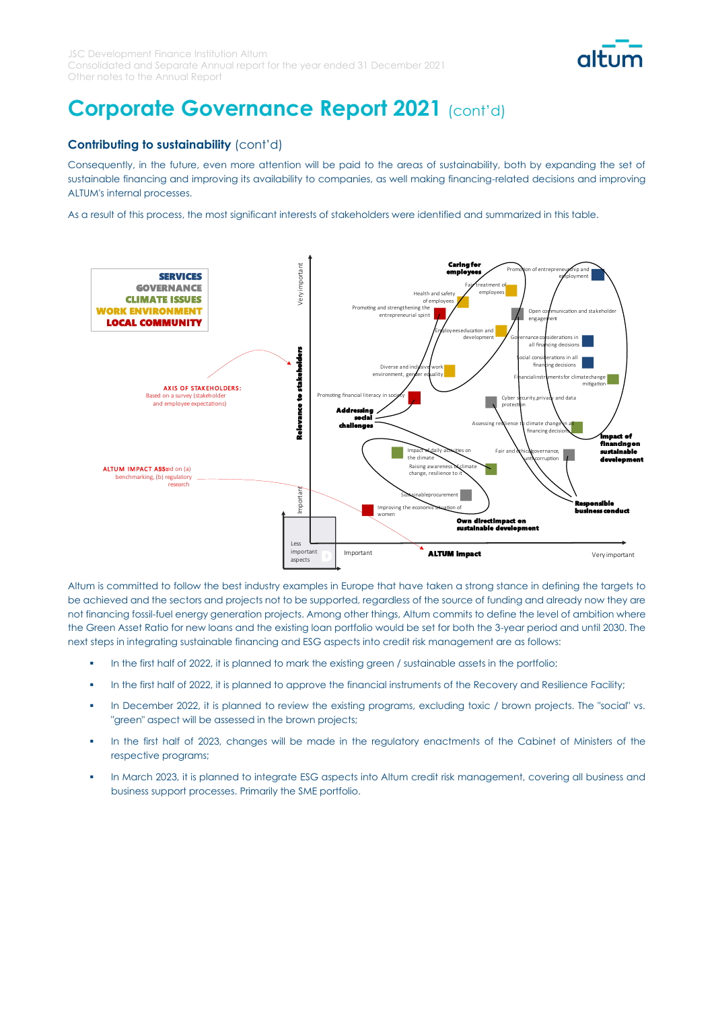

### **Contributing to sustainability** (cont'd)

Consequently, in the future, even more attention will be paid to the areas of sustainability, both by expanding the set of sustainable financing and improving its availability to companies, as well making financing-related decisions and improving ALTUM's internal processes.

As a result of this process, the most significant interests of stakeholders were identified and summarized in this table.



Altum is committed to follow the best industry examples in Europe that have taken a strong stance in defining the targets to be achieved and the sectors and projects not to be supported, regardless of the source of funding and already now they are not financing fossil-fuel energy generation projects. Among other things, Altum commits to define the level of ambition where the Green Asset Ratio for new loans and the existing loan portfolio would be set for both the 3-year period and until 2030. The next steps in integrating sustainable financing and ESG aspects into credit risk management are as follows:

- In the first half of 2022, it is planned to mark the existing green / sustainable assets in the portfolio;
- **•** In the first half of 2022, it is planned to approve the financial instruments of the Recovery and Resilience Facility;
- In December 2022, it is planned to review the existing programs, excluding toxic / brown projects. The "social" vs. "green" aspect will be assessed in the brown projects;
- In the first half of 2023, changes will be made in the regulatory enactments of the Cabinet of Ministers of the respective programs;
- In March 2023, it is planned to integrate ESG aspects into Altum credit risk management, covering all business and business support processes. Primarily the SME portfolio.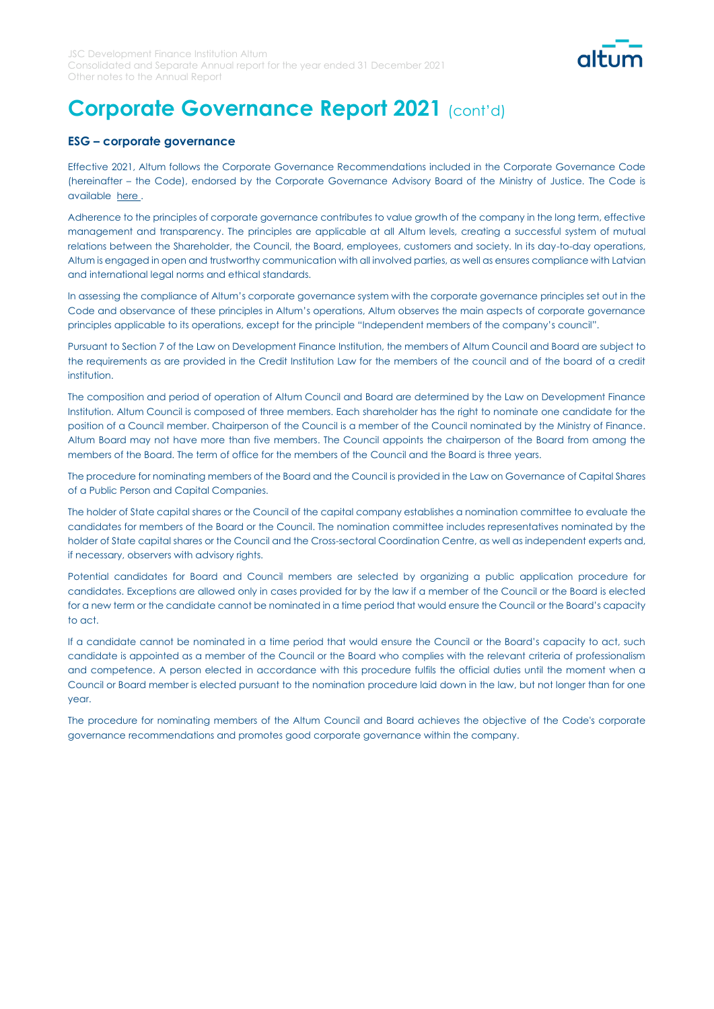

### **ESG – corporate governance**

Effective 2021, Altum follows the Corporate Governance Recommendations included in the Corporate Governance Code (hereinafter – the Code), endorsed by the Corporate Governance Advisory Board of the Ministry of Justice. The Code is available here.

Adherence to the principles of corporate governance contributes to value growth of the company in the long term, effective management and transparency. The principles are applicable at all Altum levels, creating a successful system of mutual relations between the Shareholder, the Council, the Board, employees, customers and society. In its day-to-day operations, Altum is engaged in open and trustworthy communication with all involved parties, as well as ensures compliance with Latvian and international legal norms and ethical standards.

In assessing the compliance of Altum's corporate governance system with the corporate governance principles set out in the Code and observance of these principles in Altum's operations, Altum observes the main aspects of corporate governance principles applicable to its operations, except for the principle "Independent members of the company's council".

Pursuant to Section 7 of the Law on Development Finance Institution, the members of Altum Council and Board are subject to the requirements as are provided in the Credit Institution Law for the members of the council and of the board of a credit institution.

The composition and period of operation of Altum Council and Board are determined by the Law on Development Finance Institution. Altum Council is composed of three members. Each shareholder has the right to nominate one candidate for the position of a Council member. Chairperson of the Council is a member of the Council nominated by the Ministry of Finance. Altum Board may not have more than five members. The Council appoints the chairperson of the Board from among the members of the Board. The term of office for the members of the Council and the Board is three years.

The procedure for nominating members of the Board and the Council is provided in the Law on Governance of Capital Shares of a Public Person and Capital Companies.

The holder of State capital shares or the Council of the capital company establishes a nomination committee to evaluate the candidates for members of the Board or the Council. The nomination committee includes representatives nominated by the holder of State capital shares or the Council and the Cross-sectoral Coordination Centre, as well as independent experts and, if necessary, observers with advisory rights.

Potential candidates for Board and Council members are selected by organizing a public application procedure for candidates. Exceptions are allowed only in cases provided for by the law if a member of the Council or the Board is elected for a new term or the candidate cannot be nominated in a time period that would ensure the Council or the Board's capacity to act.

If a candidate cannot be nominated in a time period that would ensure the Council or the Board's capacity to act, such candidate is appointed as a member of the Council or the Board who complies with the relevant criteria of professionalism and competence. A person elected in accordance with this procedure fulfils the official duties until the moment when a Council or Board member is elected pursuant to the nomination procedure laid down in the law, but not longer than for one year.

The procedure for nominating members of the Altum Council and Board achieves the objective of the Code's corporate governance recommendations and promotes good corporate governance within the company.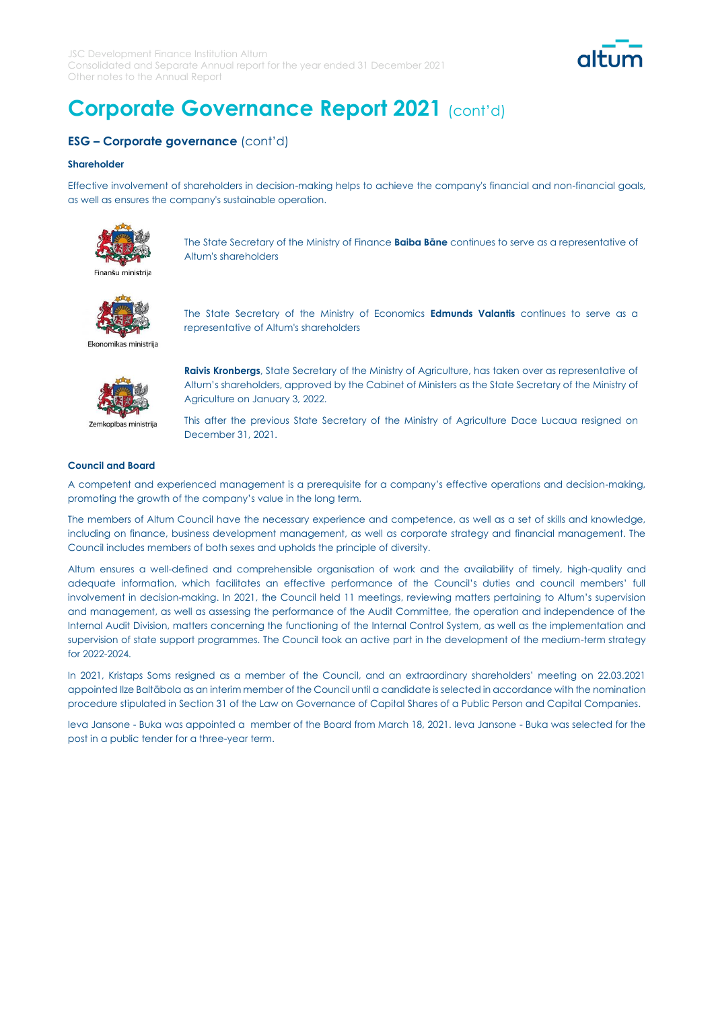

### **ESG – Corporate governance** (cont'd)

#### **Shareholder**

Effective involvement of shareholders in decision-making helps to achieve the company's financial and non-financial goals, as well as ensures the company's sustainable operation.



The State Secretary of the Ministry of Finance **Baiba Bāne** continues to serve as a representative of Altum's shareholders



The State Secretary of the Ministry of Economics **Edmunds Valantis** continues to serve as a representative of Altum's shareholders

Ekonomikas ministrija



Zemkopības ministrija

**Raivis Kronbergs**, State Secretary of the Ministry of Agriculture, has taken over as representative of Altum's shareholders, approved by the Cabinet of Ministers as the State Secretary of the Ministry of Agriculture on January 3, 2022.

This after the previous State Secretary of the Ministry of Agriculture Dace Lucaua resigned on December 31, 2021.

### **Council and Board**

A competent and experienced management is a prerequisite for a company's effective operations and decision-making, promoting the growth of the company's value in the long term.

The members of Altum Council have the necessary experience and competence, as well as a set of skills and knowledge, including on finance, business development management, as well as corporate strategy and financial management. The Council includes members of both sexes and upholds the principle of diversity.

Altum ensures a well-defined and comprehensible organisation of work and the availability of timely, high-quality and adequate information, which facilitates an effective performance of the Council's duties and council members' full involvement in decision-making. In 2021, the Council held 11 meetings, reviewing matters pertaining to Altum's supervision and management, as well as assessing the performance of the Audit Committee, the operation and independence of the Internal Audit Division, matters concerning the functioning of the Internal Control System, as well as the implementation and supervision of state support programmes. The Council took an active part in the development of the medium-term strategy for 2022-2024.

In 2021, Kristaps Soms resigned as a member of the Council, and an extraordinary shareholders' meeting on 22.03.2021 appointed Ilze Baltābola as an interim member of the Council until a candidate is selected in accordance with the nomination procedure stipulated in Section 31 of the Law on Governance of Capital Shares of a Public Person and Capital Companies.

Ieva Jansone - Buka was appointed a member of the Board from March 18, 2021. Ieva Jansone - Buka was selected for the post in a public tender for a three-year term.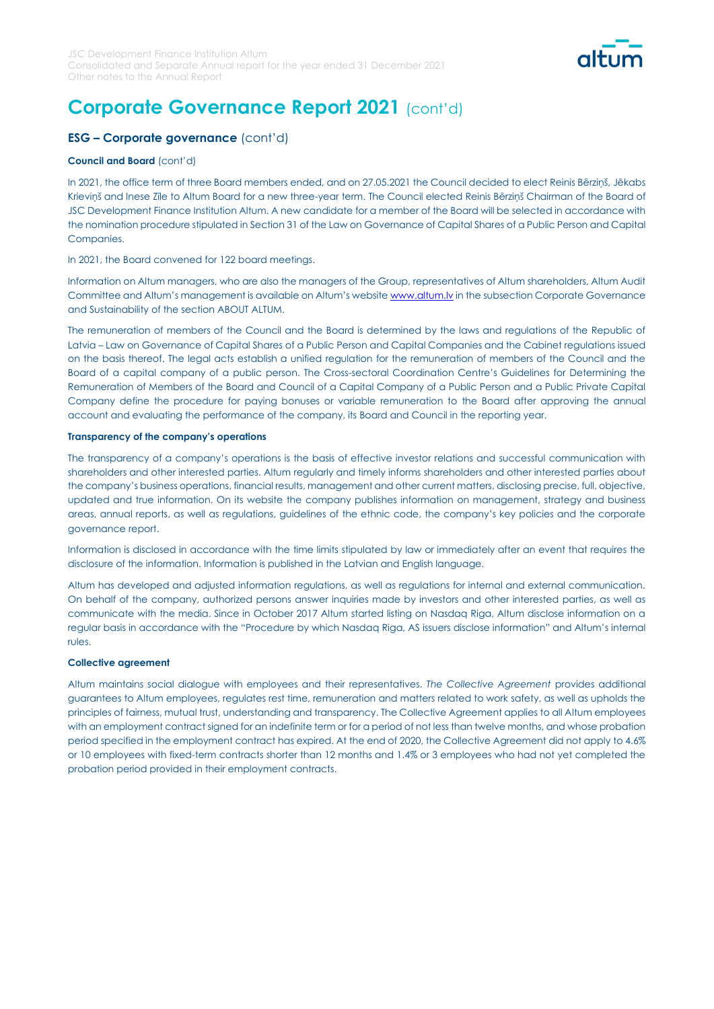

## **ESG – Corporate governance** (cont'd)

#### **Council and Board** (cont'd)

In 2021, the office term of three Board members ended, and on 27.05.2021 the Council decided to elect Reinis Bērziņš, Jēkabs Krieviņš and Inese Zīle to Altum Board for a new three-year term. The Council elected Reinis Bērziņš Chairman of the Board of JSC Development Finance Institution Altum. A new candidate for a member of the Board will be selected in accordance with the nomination procedure stipulated in Section 31 of the Law on Governance of Capital Shares of a Public Person and Capital Companies.

In 2021, the Board convened for 122 board meetings.

Information on Altum managers, who are also the managers of the Group, representatives of Altum shareholders, Altum Audit Committee and Altum's management is available on Altum's website www.altum.ly in the subsection Corporate Governance and Sustainability of the section ABOUT ALTUM.

The remuneration of members of the Council and the Board is determined by the laws and regulations of the Republic of Latvia – Law on Governance of Capital Shares of a Public Person and Capital Companies and the Cabinet regulations issued on the basis thereof. The legal acts establish a unified regulation for the remuneration of members of the Council and the Board of a capital company of a public person. The Cross-sectoral Coordination Centre's Guidelines for Determining the Remuneration of Members of the Board and Council of a Capital Company of a Public Person and a Public Private Capital Company define the procedure for paying bonuses or variable remuneration to the Board after approving the annual account and evaluating the performance of the company, its Board and Council in the reporting year.

#### **Transparency of the company's operations**

The transparency of a company's operations is the basis of effective investor relations and successful communication with shareholders and other interested parties. Altum regularly and timely informs shareholders and other interested parties about the company's business operations, financial results, management and other current matters, disclosing precise, full, objective, updated and true information. On its website the company publishes information on management, strategy and business areas, annual reports, as well as regulations, guidelines of the ethnic code, the company's key policies and the corporate governance report.

Information is disclosed in accordance with the time limits stipulated by law or immediately after an event that requires the disclosure of the information. Information is published in the Latvian and English language.

Altum has developed and adjusted information regulations, as well as regulations for internal and external communication. On behalf of the company, authorized persons answer inquiries made by investors and other interested parties, as well as communicate with the media. Since in October 2017 Altum started listing on Nasdaq Riga, Altum disclose information on a regular basis in accordance with the "Procedure by which Nasdaq Riga, AS issuers disclose information" and Altum's internal rules.

#### **Collective agreement**

Altum maintains social dialogue with employees and their representatives. *The Collective Agreement* provides additional guarantees to Altum employees, regulates rest time, remuneration and matters related to work safety, as well as upholds the principles of fairness, mutual trust, understanding and transparency. The Collective Agreement applies to all Altum employees with an employment contract signed for an indefinite term or for a period of not less than twelve months, and whose probation period specified in the employment contract has expired. At the end of 2020, the Collective Agreement did not apply to 4.6% or 10 employees with fixed-term contracts shorter than 12 months and 1.4% or 3 employees who had not yet completed the probation period provided in their employment contracts.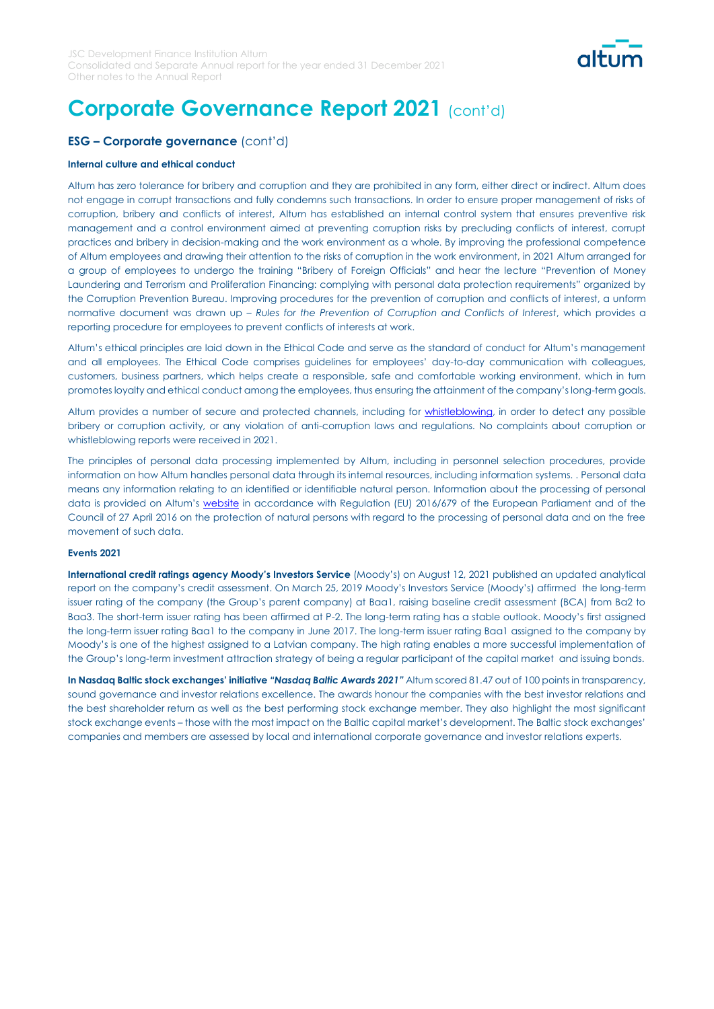

### **ESG – Corporate governance** (cont'd)

#### **Internal culture and ethical conduct**

Altum has zero tolerance for bribery and corruption and they are prohibited in any form, either direct or indirect. Altum does not engage in corrupt transactions and fully condemns such transactions. In order to ensure proper management of risks of corruption, bribery and conflicts of interest, Altum has established an internal control system that ensures preventive risk management and a control environment aimed at preventing corruption risks by precluding conflicts of interest, corrupt practices and bribery in decision-making and the work environment as a whole. By improving the professional competence of Altum employees and drawing their attention to the risks of corruption in the work environment, in 2021 Altum arranged for a group of employees to undergo the training "Bribery of Foreign Officials" and hear the lecture "Prevention of Money Laundering and Terrorism and Proliferation Financing: complying with personal data protection requirements" organized by the Corruption Prevention Bureau. Improving procedures for the prevention of corruption and conflicts of interest, a unform normative document was drawn up – *Rules for the Prevention of Corruption and Conflicts of Interest*, which provides a reporting procedure for employees to prevent conflicts of interests at work.

Altum's ethical principles are laid down in the Ethical Code and serve as the standard of conduct for Altum's management and all employees. The Ethical Code comprises guidelines for employees' day-to-day communication with colleagues, customers, business partners, which helps create a responsible, safe and comfortable working environment, which in turn promotes loyalty and ethical conduct among the employees, thus ensuring the attainment of the company's long-term goals.

Altum provides a number of secure and protected channels, including for **whistleblowing**, in order to detect any possible bribery or corruption activity, or any violation of anti-corruption laws and regulations. No complaints about corruption or whistleblowing reports were received in 2021.

The principles of personal data processing implemented by Altum, including in personnel selection procedures, provide information on how Altum handles personal data through its internal resources, including information systems. . Personal data means any information relating to an identified or identifiable natural person. Information about the processing of personal data is provided on Altum's [website](https://www.altum.lv/en/privacy-policy/) in accordance with Regulation (EU) 2016/679 of the European Parliament and of the Council of 27 April 2016 on the protection of natural persons with regard to the processing of personal data and on the free movement of such data.

#### **Events 2021**

**International credit ratings agency Moody's Investors Service** (Moody's) on August 12, 2021 published an updated analytical report on the company's credit assessment. On March 25, 2019 Moody's Investors Service (Moody's) affirmed the long-term issuer rating of the company (the Group's parent company) at Baa1, raising baseline credit assessment (BCA) from Ba2 to Baa3. The short-term issuer rating has been affirmed at P-2. The long-term rating has a stable outlook. Moody's first assigned the long-term issuer rating Baa1 to the company in June 2017. The long-term issuer rating Baa1 assigned to the company by Moody's is one of the highest assigned to a Latvian company. The high rating enables a more successful implementation of the Group's long-term investment attraction strategy of being a regular participant of the capital market and issuing bonds.

**In Nasdaq Baltic stock exchanges' initiative** *"Nasdaq Baltic Awards 2021"* Altum scored 81.47 out of 100 points in transparency, sound governance and investor relations excellence. The awards honour the companies with the best investor relations and the best shareholder return as well as the best performing stock exchange member. They also highlight the most significant stock exchange events – those with the most impact on the Baltic capital market's development. The Baltic stock exchanges' companies and members are assessed by local and international corporate governance and investor relations experts.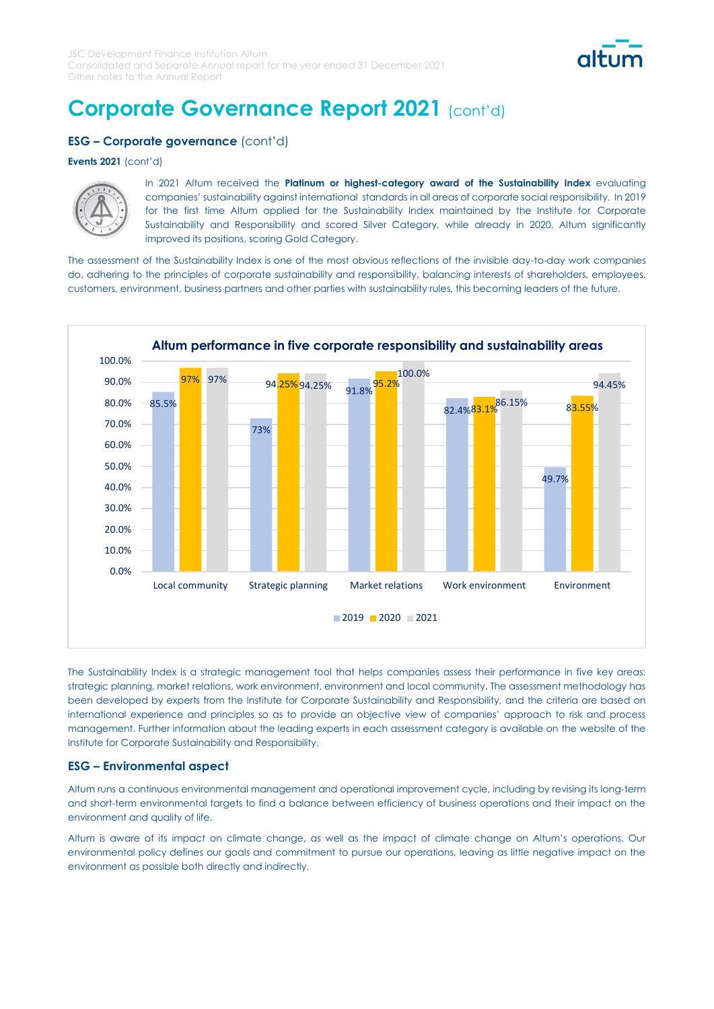

### **ESG – Corporate governance** (cont'd)

#### **Events 2021** (cont'd)



In 2021 Altum received the **Platinum or highest-category award of the Sustainability Index** evaluating companies' sustainability against international standards in all areas of corporate social responsibility. In 2019 for the first time Altum applied for the Sustainability Index maintained by the Institute for Corporate Sustainability and Responsibility and scored Silver Category, while already in 2020, Altum significantly improved its positions, scoring Gold Category.

The assessment of the Sustainability Index is one of the most obvious reflections of the invisible day-to-day work companies do, adhering to the principles of corporate sustainability and responsibility, balancing interests of shareholders, employees, customers, environment, business partners and other parties with sustainability rules, this becoming leaders of the future.



The Sustainability Index is a strategic management tool that helps companies assess their performance in five key areas: strategic planning, market relations, work environment, environment and local community. The assessment methodology has been developed by experts from the Institute for Corporate Sustainability and Responsibility, and the criteria are based on international experience and principles so as to provide an objective view of companies' approach to risk and process management. Further information about the leading experts in each assessment category is available on the website of the Institute for Corporate Sustainability and Responsibility.

### **ESG – Environmental aspect**

Altum runs a continuous environmental management and operational improvement cycle, including by revising its long-term and short-term environmental targets to find a balance between efficiency of business operations and their impact on the environment and quality of life.

Altum is aware of its impact on climate change, as well as the impact of climate change on Altum's operations. Our environmental policy defines our goals and commitment to pursue our operations, leaving as little negative impact on the environment as possible both directly and indirectly.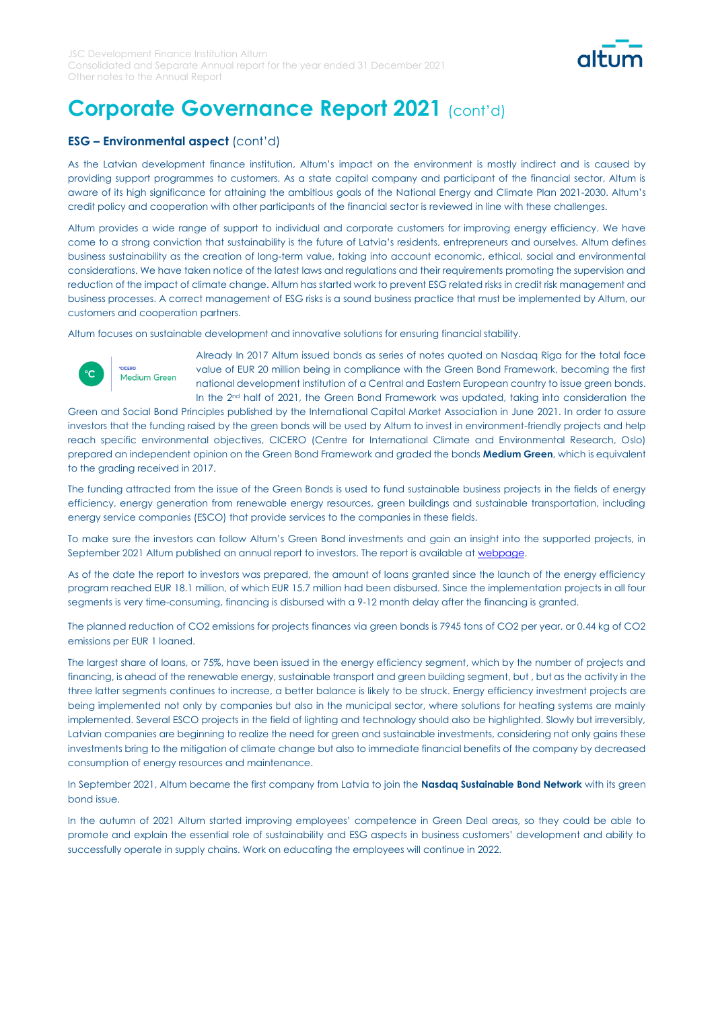

### **ESG – Environmental aspect** (cont'd)

As the Latvian development finance institution, Altum's impact on the environment is mostly indirect and is caused by providing support programmes to customers. As a state capital company and participant of the financial sector, Altum is aware of its high significance for attaining the ambitious goals of the National Energy and Climate Plan 2021-2030. Altum's credit policy and cooperation with other participants of the financial sector is reviewed in line with these challenges.

Altum provides a wide range of support to individual and corporate customers for improving energy efficiency. We have come to a strong conviction that sustainability is the future of Latvia's residents, entrepreneurs and ourselves. Altum defines business sustainability as the creation of long-term value, taking into account economic, ethical, social and environmental considerations. We have taken notice of the latest laws and regulations and their requirements promoting the supervision and reduction of the impact of climate change. Altum has started work to prevent ESG related risks in credit risk management and business processes. A correct management of ESG risks is a sound business practice that must be implemented by Altum, our customers and cooperation partners.

Altum focuses on sustainable development and innovative solutions for ensuring financial stability.



**CICERC** 

Medium Green

Already In 2017 Altum issued bonds as series of notes quoted on Nasdaq Riga for the total face value of EUR 20 million being in compliance with the Green Bond Framework, becoming the first national development institution of a Central and Eastern European country to issue green bonds. In the 2<sup>nd</sup> half of 2021, the Green Bond Framework was updated, taking into consideration the

Green and Social Bond Principles published by the International Capital Market Association in June 2021. In order to assure investors that the funding raised by the green bonds will be used by Altum to invest in environment-friendly projects and help reach specific environmental objectives, CICERO (Centre for International Climate and Environmental Research, Oslo) prepared an independent opinion on the Green Bond Framework and graded the bonds **Medium Green**, which is equivalent to the grading received in 2017.

The funding attracted from the issue of the Green Bonds is used to fund sustainable business projects in the fields of energy efficiency, energy generation from renewable energy resources, green buildings and sustainable transportation, including energy service companies (ESCO) that provide services to the companies in these fields.

To make sure the investors can follow Altum's Green Bond investments and gain an insight into the supported projects, in September 2021 Altum published an annual report to investors. The report is available at webpage.

As of the date the report to investors was prepared, the amount of loans granted since the launch of the energy efficiency program reached EUR 18.1 million, of which EUR 15.7 million had been disbursed. Since the implementation projects in all four segments is very time-consuming, financing is disbursed with a 9-12 month delay after the financing is granted.

The planned reduction of CO2 emissions for projects finances via green bonds is 7945 tons of CO2 per year, or 0.44 kg of CO2 emissions per EUR 1 loaned.

The largest share of loans, or 75%, have been issued in the energy efficiency segment, which by the number of projects and financing, is ahead of the renewable energy, sustainable transport and green building segment, but , but as the activity in the three latter segments continues to increase, a better balance is likely to be struck. Energy efficiency investment projects are being implemented not only by companies but also in the municipal sector, where solutions for heating systems are mainly implemented. Several ESCO projects in the field of lighting and technology should also be highlighted. Slowly but irreversibly, Latvian companies are beginning to realize the need for green and sustainable investments, considering not only gains these investments bring to the mitigation of climate change but also to immediate financial benefits of the company by decreased consumption of energy resources and maintenance.

In September 2021, Altum became the first company from Latvia to join the **Nasdaq Sustainable Bond Network** with its green bond issue.

In the autumn of 2021 Altum started improving employees' competence in Green Deal areas, so they could be able to promote and explain the essential role of sustainability and ESG aspects in business customers' development and ability to successfully operate in supply chains. Work on educating the employees will continue in 2022.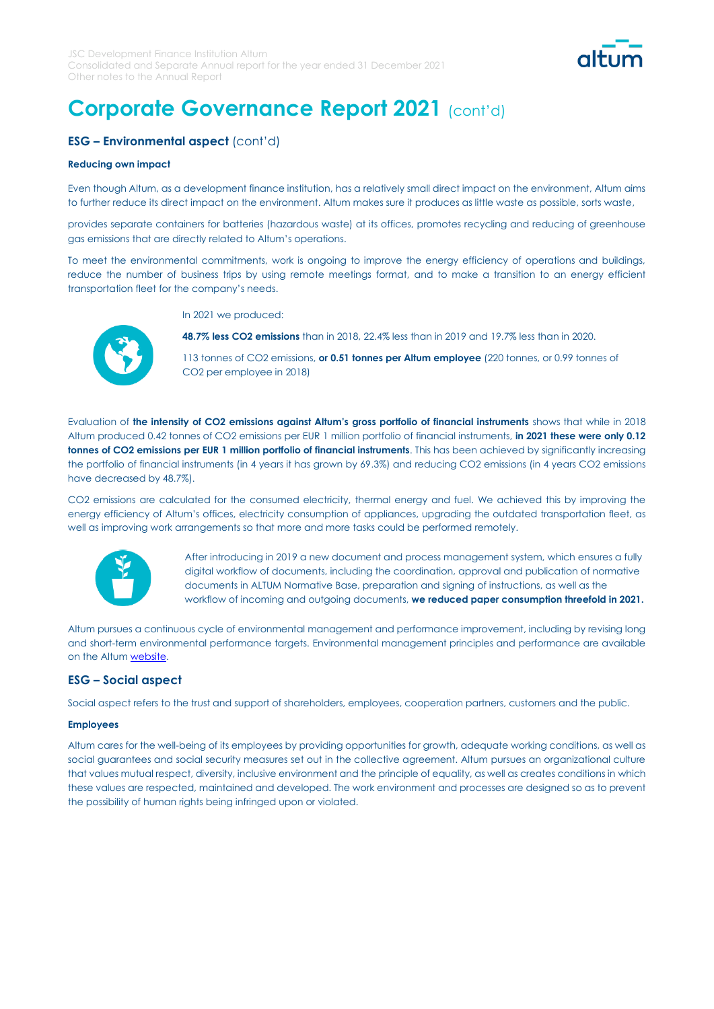

## **ESG – Environmental aspect** (cont'd)

### **Reducing own impact**

Even though Altum, as a development finance institution, has a relatively small direct impact on the environment, Altum aims to further reduce its direct impact on the environment. Altum makes sure it produces as little waste as possible, sorts waste,

provides separate containers for batteries (hazardous waste) at its offices, promotes recycling and reducing of greenhouse gas emissions that are directly related to Altum's operations.

To meet the environmental commitments, work is ongoing to improve the energy efficiency of operations and buildings, reduce the number of business trips by using remote meetings format, and to make a transition to an energy efficient transportation fleet for the company's needs.

In 2021 we produced:

**48.7% less CO2 emissions** than in 2018, 22.4% less than in 2019 and 19.7% less than in 2020.

113 tonnes of CO2 emissions, **or 0.51 tonnes per Altum employee** (220 tonnes, or 0.99 tonnes of CO2 per employee in 2018)

Evaluation of **the intensity of CO2 emissions against Altum's gross portfolio of financial instruments** shows that while in 2018 Altum produced 0.42 tonnes of CO2 emissions per EUR 1 million portfolio of financial instruments, **in 2021 these were only 0.12**  tonnes of CO2 emissions per EUR 1 million portfolio of financial instruments. This has been achieved by significantly increasing the portfolio of financial instruments (in 4 years it has grown by 69.3%) and reducing CO2 emissions (in 4 years CO2 emissions have decreased by 48.7%).

CO2 emissions are calculated for the consumed electricity, thermal energy and fuel. We achieved this by improving the energy efficiency of Altum's offices, electricity consumption of appliances, upgrading the outdated transportation fleet, as well as improving work arrangements so that more and more tasks could be performed remotely.



After introducing in 2019 a new document and process management system, which ensures a fully digital workflow of documents, including the coordination, approval and publication of normative documents in ALTUM Normative Base, preparation and signing of instructions, as well as the workflow of incoming and outgoing documents, **we reduced paper consumption threefold in 2021.**

Altum pursues a continuous cycle of environmental management and performance improvement, including by revising long and short-term environmental performance targets. Environmental management principles and performance are available on the Altum [website.](https://www.altum.lv/lv/par-altum/vides-parvaldibas-principi)

### **ESG – Social aspect**

Social aspect refers to the trust and support of shareholders, employees, cooperation partners, customers and the public.

#### **Employees**

Altum cares for the well-being of its employees by providing opportunities for growth, adequate working conditions, as well as social guarantees and social security measures set out in the collective agreement. Altum pursues an organizational culture that values mutual respect, diversity, inclusive environment and the principle of equality, as well as creates conditions in which these values are respected, maintained and developed. The work environment and processes are designed so as to prevent the possibility of human rights being infringed upon or violated.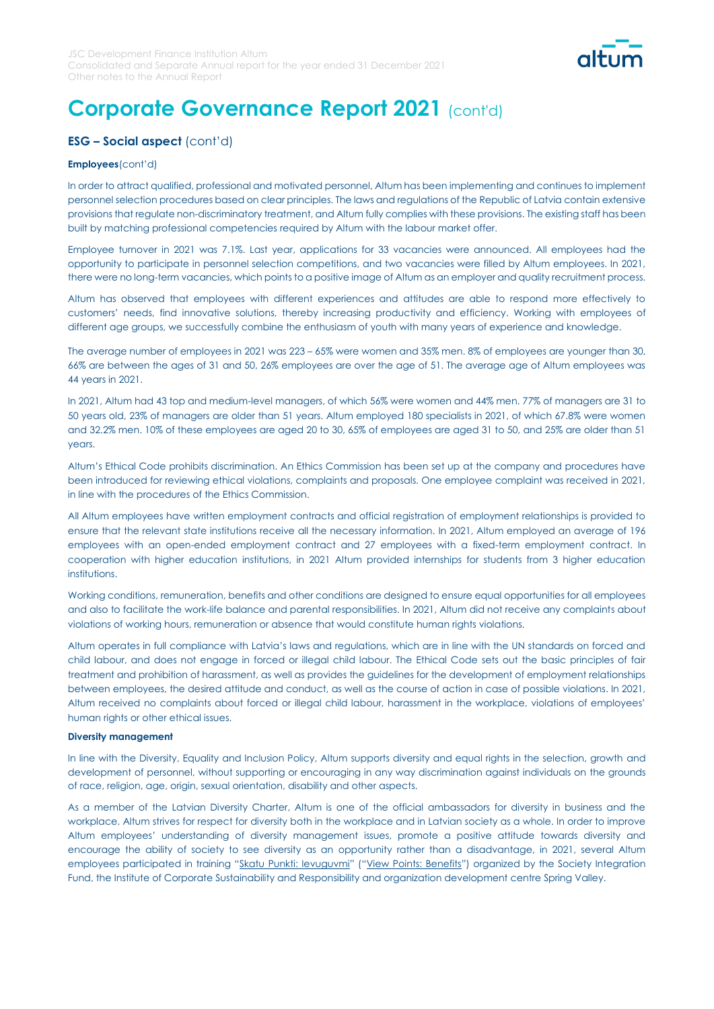

## **ESG – Social aspect** (cont'd)

#### **Employees**(cont'd)

In order to attract qualified, professional and motivated personnel, Altum has been implementing and continues to implement personnel selection procedures based on clear principles. The laws and regulations of the Republic of Latvia contain extensive provisions that regulate non-discriminatory treatment, and Altum fully complies with these provisions. The existing staff has been built by matching professional competencies required by Altum with the labour market offer.

Employee turnover in 2021 was 7.1%. Last year, applications for 33 vacancies were announced. All employees had the opportunity to participate in personnel selection competitions, and two vacancies were filled by Altum employees. In 2021, there were no long-term vacancies, which points to a positive image of Altum as an employer and quality recruitment process.

Altum has observed that employees with different experiences and attitudes are able to respond more effectively to customers' needs, find innovative solutions, thereby increasing productivity and efficiency. Working with employees of different age groups, we successfully combine the enthusiasm of youth with many years of experience and knowledge.

The average number of employees in 2021 was 223 – 65% were women and 35% men. 8% of employees are younger than 30, 66% are between the ages of 31 and 50, 26% employees are over the age of 51. The average age of Altum employees was 44 years in 2021.

In 2021, Altum had 43 top and medium-level managers, of which 56% were women and 44% men. 77% of managers are 31 to 50 years old, 23% of managers are older than 51 years. Altum employed 180 specialists in 2021, of which 67.8% were women and 32.2% men. 10% of these employees are aged 20 to 30, 65% of employees are aged 31 to 50, and 25% are older than 51 years.

Altum's Ethical Code prohibits discrimination. An Ethics Commission has been set up at the company and procedures have been introduced for reviewing ethical violations, complaints and proposals. One employee complaint was received in 2021, in line with the procedures of the Ethics Commission.

All Altum employees have written employment contracts and official registration of employment relationships is provided to ensure that the relevant state institutions receive all the necessary information. In 2021, Altum employed an average of 196 employees with an open-ended employment contract and 27 employees with a fixed-term employment contract. In cooperation with higher education institutions, in 2021 Altum provided internships for students from 3 higher education institutions.

Working conditions, remuneration, benefits and other conditions are designed to ensure equal opportunities for all employees and also to facilitate the work-life balance and parental responsibilities. In 2021, Altum did not receive any complaints about violations of working hours, remuneration or absence that would constitute human rights violations.

Altum operates in full compliance with Latvia's laws and regulations, which are in line with the UN standards on forced and child labour, and does not engage in forced or illegal child labour. The Ethical Code sets out the basic principles of fair treatment and prohibition of harassment, as well as provides the guidelines for the development of employment relationships between employees, the desired attitude and conduct, as well as the course of action in case of possible violations. In 2021, Altum received no complaints about forced or illegal child labour, harassment in the workplace, violations of employees' human rights or other ethical issues.

#### **Diversity management**

In line with the Diversity, Equality and Inclusion Policy, Altum supports diversity and equal rights in the selection, growth and development of personnel, without supporting or encouraging in any way discrimination against individuals on the grounds of race, religion, age, origin, sexual orientation, disability and other aspects.

As a member of the Latvian Diversity Charter, Altum is one of the official ambassadors for diversity in business and the workplace. Altum strives for respect for diversity both in the workplace and in Latvian society as a whole. In order to improve Altum employees' understanding of diversity management issues, promote a positive attitude towards diversity and encourage the ability of society to see diversity as an opportunity rather than a disadvantage, in 2021, several Altum employees participated in training "Skatu Punkti: Ievuguvmi" ("View Points: Benefits") organized by the Society Integration Fund, the Institute of Corporate Sustainability and Responsibility and organization development centre Spring Valley.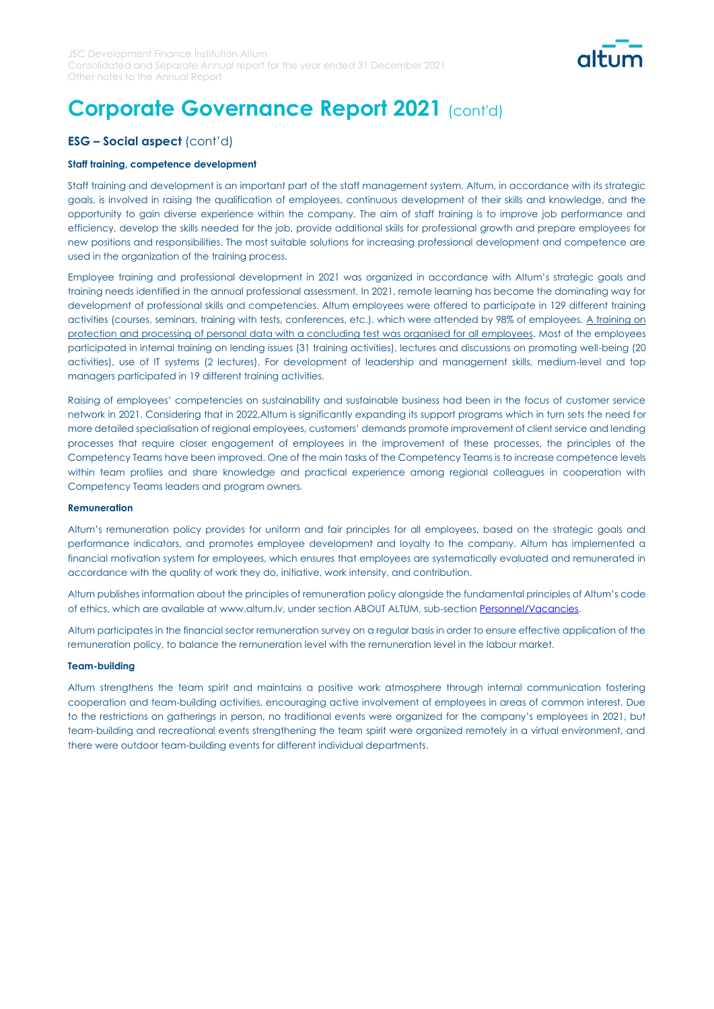

### **ESG – Social aspect** (cont'd)

#### **Staff training, competence development**

Staff training and development is an important part of the staff management system. Altum, in accordance with its strategic goals, is involved in raising the qualification of employees, continuous development of their skills and knowledge, and the opportunity to gain diverse experience within the company. The aim of staff training is to improve job performance and efficiency, develop the skills needed for the job, provide additional skills for professional growth and prepare employees for new positions and responsibilities. The most suitable solutions for increasing professional development and competence are used in the organization of the training process.

Employee training and professional development in 2021 was organized in accordance with Altum's strategic goals and training needs identified in the annual professional assessment. In 2021, remote learning has become the dominating way for development of professional skills and competencies. Altum employees were offered to participate in 129 different training activities (courses, seminars, training with tests, conferences, etc.), which were attended by 98% of employees. A training on protection and processing of personal data with a concluding test was organised for all employees. Most of the employees participated in internal training on lending issues (31 training activities), lectures and discussions on promoting well-being (20 activities), use of IT systems (2 lectures). For development of leadership and management skills, medium-level and top managers participated in 19 different training activities.

Raising of employees' competencies on sustainability and sustainable business had been in the focus of customer service network in 2021. Considering that in 2022,Altum is significantly expanding its support programs which in turn sets the need for more detailed specialisation of regional employees, customers' demands promote improvement of client service and lending processes that require closer engagement of employees in the improvement of these processes, the principles of the Competency Teams have been improved. One of the main tasks of the Competency Teams is to increase competence levels within team profiles and share knowledge and practical experience among regional colleagues in cooperation with Competency Teams leaders and program owners.

#### **Remuneration**

Altum's remuneration policy provides for uniform and fair principles for all employees, based on the strategic goals and performance indicators, and promotes employee development and loyalty to the company. Altum has implemented a financial motivation system for employees, which ensures that employees are systematically evaluated and remunerated in accordance with the quality of work they do, initiative, work intensity, and contribution.

Altum publishes information about the principles of remuneration policy alongside the fundamental principles of Altum's code of ethics, which are available at www.altum.lv, under section ABOUT ALTUM, sub-section [Personnel/Vacancies.](https://www.altum.lv/lv/par-altum/personals-karjera/)

Altum participates in the financial sector remuneration survey on a regular basis in order to ensure effective application of the remuneration policy, to balance the remuneration level with the remuneration level in the labour market.

#### **Team-building**

Altum strengthens the team spirit and maintains a positive work atmosphere through internal communication fostering cooperation and team-building activities, encouraging active involvement of employees in areas of common interest. Due to the restrictions on gatherings in person, no traditional events were organized for the company's employees in 2021, but team-building and recreational events strengthening the team spirit were organized remotely in a virtual environment, and there were outdoor team-building events for different individual departments.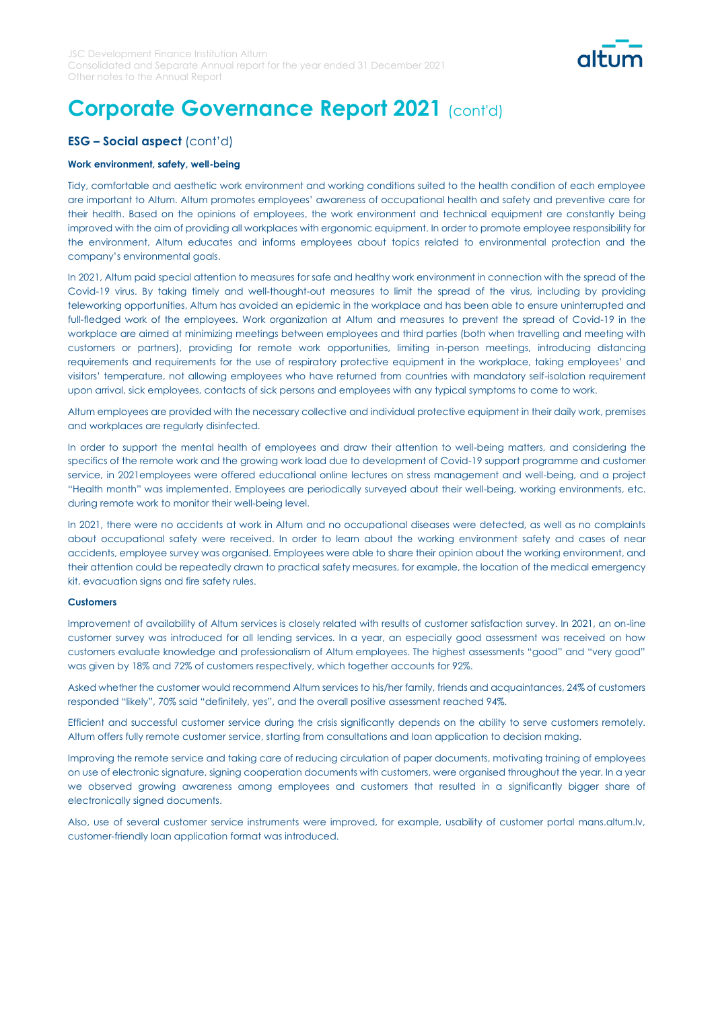

### **ESG – Social aspect** (cont'd)

### **Work environment, safety, well-being**

Tidy, comfortable and aesthetic work environment and working conditions suited to the health condition of each employee are important to Altum. Altum promotes employees' awareness of occupational health and safety and preventive care for their health. Based on the opinions of employees, the work environment and technical equipment are constantly being improved with the aim of providing all workplaces with ergonomic equipment. In order to promote employee responsibility for the environment, Altum educates and informs employees about topics related to environmental protection and the company's environmental goals.

In 2021, Altum paid special attention to measures for safe and healthy work environment in connection with the spread of the Covid-19 virus. By taking timely and well-thought-out measures to limit the spread of the virus, including by providing teleworking opportunities, Altum has avoided an epidemic in the workplace and has been able to ensure uninterrupted and full-fledged work of the employees. Work organization at Altum and measures to prevent the spread of Covid-19 in the workplace are aimed at minimizing meetings between employees and third parties (both when travelling and meeting with customers or partners), providing for remote work opportunities, limiting in-person meetings, introducing distancing requirements and requirements for the use of respiratory protective equipment in the workplace, taking employees' and visitors' temperature, not allowing employees who have returned from countries with mandatory self-isolation requirement upon arrival, sick employees, contacts of sick persons and employees with any typical symptoms to come to work.

Altum employees are provided with the necessary collective and individual protective equipment in their daily work, premises and workplaces are regularly disinfected.

In order to support the mental health of employees and draw their attention to well-being matters, and considering the specifics of the remote work and the growing work load due to development of Covid-19 support programme and customer service, in 2021employees were offered educational online lectures on stress management and well-being, and a project "Health month" was implemented. Employees are periodically surveyed about their well-being, working environments, etc. during remote work to monitor their well-being level.

In 2021, there were no accidents at work in Altum and no occupational diseases were detected, as well as no complaints about occupational safety were received. In order to learn about the working environment safety and cases of near accidents, employee survey was organised. Employees were able to share their opinion about the working environment, and their attention could be repeatedly drawn to practical safety measures, for example, the location of the medical emergency kit, evacuation signs and fire safety rules.

#### **Customers**

Improvement of availability of Altum services is closely related with results of customer satisfaction survey. In 2021, an on-line customer survey was introduced for all lending services. In a year, an especially good assessment was received on how customers evaluate knowledge and professionalism of Altum employees. The highest assessments "good" and "very good" was given by 18% and 72% of customers respectively, which together accounts for 92%.

Asked whether the customer would recommend Altum services to his/her family, friends and acquaintances, 24% of customers responded "likely", 70% said "definitely, yes", and the overall positive assessment reached 94%.

Efficient and successful customer service during the crisis significantly depends on the ability to serve customers remotely. Altum offers fully remote customer service, starting from consultations and loan application to decision making.

Improving the remote service and taking care of reducing circulation of paper documents, motivating training of employees on use of electronic signature, signing cooperation documents with customers, were organised throughout the year. In a year we observed growing awareness among employees and customers that resulted in a significantly bigger share of electronically signed documents.

Also, use of several customer service instruments were improved, for example, usability of customer portal mans.altum.lv, customer-friendly loan application format was introduced.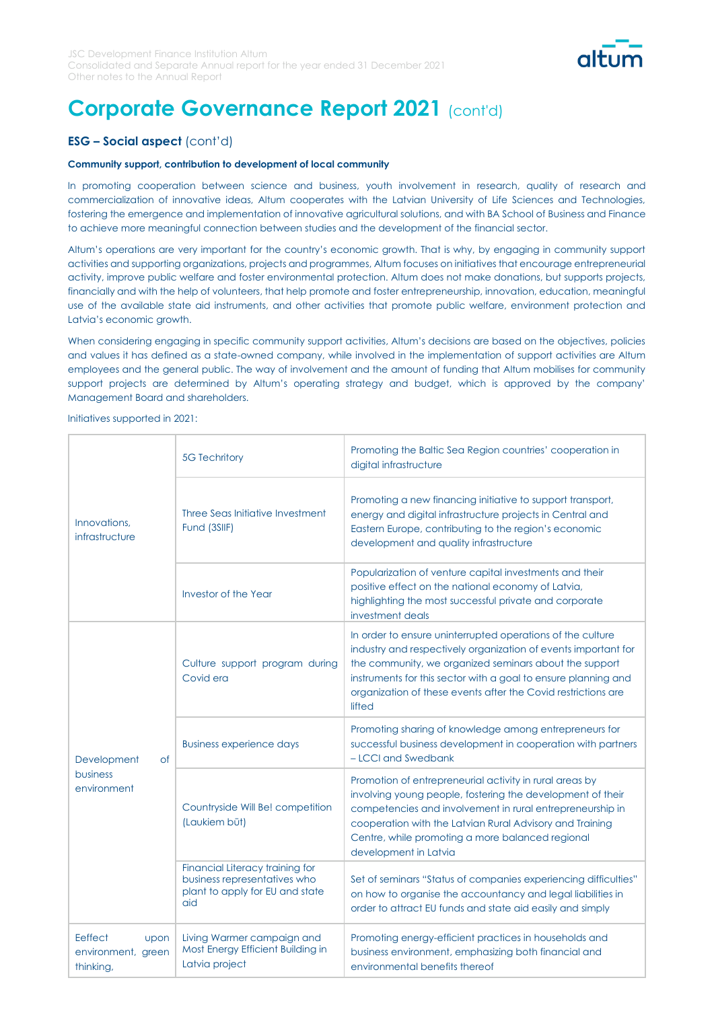

### **ESG – Social aspect** (cont'd)

### **Community support, contribution to development of local community**

In promoting cooperation between science and business, youth involvement in research, quality of research and commercialization of innovative ideas, Altum cooperates with the Latvian University of Life Sciences and Technologies, fostering the emergence and implementation of innovative agricultural solutions, and with BA School of Business and Finance to achieve more meaningful connection between studies and the development of the financial sector.

Altum's operations are very important for the country's economic growth. That is why, by engaging in community support activities and supporting organizations, projects and programmes, Altum focuses on initiatives that encourage entrepreneurial activity, improve public welfare and foster environmental protection. Altum does not make donations, but supports projects, financially and with the help of volunteers, that help promote and foster entrepreneurship, innovation, education, meaningful use of the available state aid instruments, and other activities that promote public welfare, environment protection and Latvia's economic growth.

When considering engaging in specific community support activities, Altum's decisions are based on the objectives, policies and values it has defined as a state-owned company, while involved in the implementation of support activities are Altum employees and the general public. The way of involvement and the amount of funding that Altum mobilises for community support projects are determined by Altum's operating strategy and budget, which is approved by the company' Management Board and shareholders.

Initiatives supported in 2021:

|                                                    | <b>5G Techritory</b>                                                                                      | Promoting the Baltic Sea Region countries' cooperation in<br>digital infrastructure                                                                                                                                                                                                                                                 |
|----------------------------------------------------|-----------------------------------------------------------------------------------------------------------|-------------------------------------------------------------------------------------------------------------------------------------------------------------------------------------------------------------------------------------------------------------------------------------------------------------------------------------|
| Innovations,<br>infrastructure                     | Three Seas Initiative Investment<br>Fund (3SIIF)                                                          | Promoting a new financing initiative to support transport,<br>energy and digital infrastructure projects in Central and<br>Eastern Europe, contributing to the region's economic<br>development and quality infrastructure                                                                                                          |
|                                                    | Investor of the Year                                                                                      | Popularization of venture capital investments and their<br>positive effect on the national economy of Latvia,<br>highlighting the most successful private and corporate<br>investment deals                                                                                                                                         |
|                                                    | Culture support program during<br>Covid era                                                               | In order to ensure uninterrupted operations of the culture<br>industry and respectively organization of events important for<br>the community, we organized seminars about the support<br>instruments for this sector with a goal to ensure planning and<br>organization of these events after the Covid restrictions are<br>lifted |
| Development<br><b>of</b>                           | <b>Business experience days</b>                                                                           | Promoting sharing of knowledge among entrepreneurs for<br>successful business development in cooperation with partners<br>- LCCI and Swedbank                                                                                                                                                                                       |
| business<br>environment                            | Countryside Will Be! competition<br>(Laukiem būt)                                                         | Promotion of entrepreneurial activity in rural areas by<br>involving young people, fostering the development of their<br>competencies and involvement in rural entrepreneurship in<br>cooperation with the Latvian Rural Advisory and Training<br>Centre, while promoting a more balanced regional<br>development in Latvia         |
|                                                    | Financial Literacy training for<br>business representatives who<br>plant to apply for EU and state<br>aid | Set of seminars "Status of companies experiencing difficulties"<br>on how to organise the accountancy and legal liabilities in<br>order to attract EU funds and state aid easily and simply                                                                                                                                         |
| Eeffect<br>upon<br>environment, green<br>thinking, | Living Warmer campaign and<br>Most Energy Efficient Building in<br>Latvia project                         | Promoting energy-efficient practices in households and<br>business environment, emphasizing both financial and<br>environmental benefits thereof                                                                                                                                                                                    |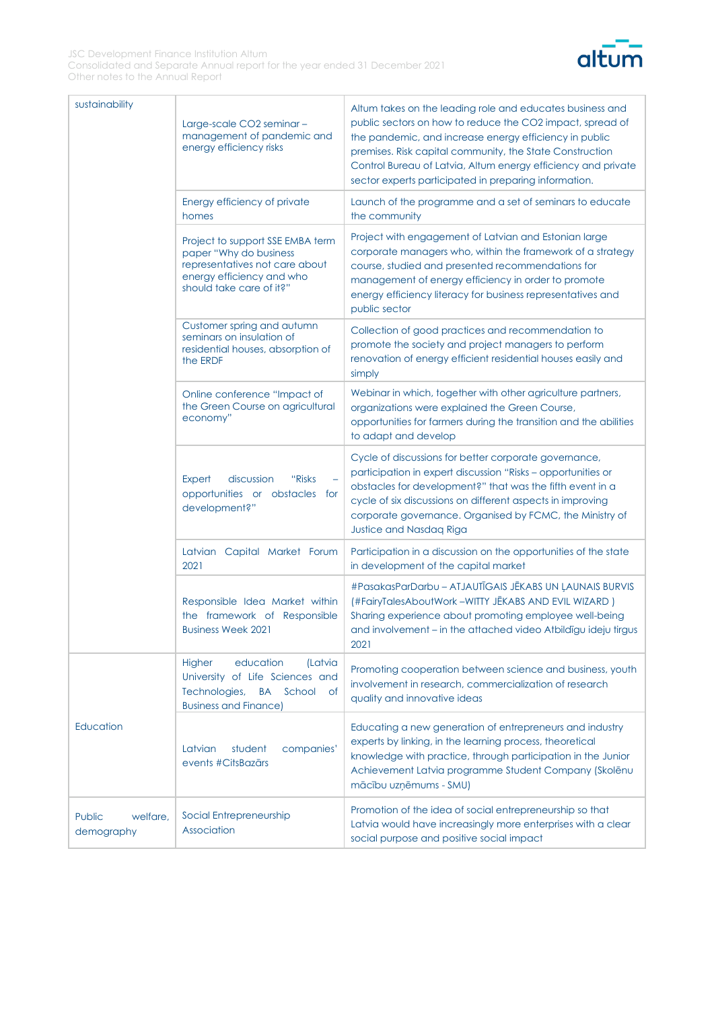

| sustainability                   | Large-scale CO2 seminar-<br>management of pandemic and<br>energy efficiency risks                                                                     | Altum takes on the leading role and educates business and<br>public sectors on how to reduce the CO2 impact, spread of<br>the pandemic, and increase energy efficiency in public<br>premises. Risk capital community, the State Construction<br>Control Bureau of Latvia, Altum energy efficiency and private<br>sector experts participated in preparing information. |
|----------------------------------|-------------------------------------------------------------------------------------------------------------------------------------------------------|------------------------------------------------------------------------------------------------------------------------------------------------------------------------------------------------------------------------------------------------------------------------------------------------------------------------------------------------------------------------|
|                                  | Energy efficiency of private<br>homes                                                                                                                 | Launch of the programme and a set of seminars to educate<br>the community                                                                                                                                                                                                                                                                                              |
|                                  | Project to support SSE EMBA term<br>paper "Why do business<br>representatives not care about<br>energy efficiency and who<br>should take care of it?" | Project with engagement of Latvian and Estonian large<br>corporate managers who, within the framework of a strategy<br>course, studied and presented recommendations for<br>management of energy efficiency in order to promote<br>energy efficiency literacy for business representatives and<br>public sector                                                        |
|                                  | Customer spring and autumn<br>seminars on insulation of<br>residential houses, absorption of<br>the ERDF                                              | Collection of good practices and recommendation to<br>promote the society and project managers to perform<br>renovation of energy efficient residential houses easily and<br>simply                                                                                                                                                                                    |
|                                  | Online conference "Impact of<br>the Green Course on agricultural<br>economy"                                                                          | Webinar in which, together with other agriculture partners,<br>organizations were explained the Green Course,<br>opportunities for farmers during the transition and the abilities<br>to adapt and develop                                                                                                                                                             |
|                                  | discussion<br>"Risks<br>Expert<br>opportunities or obstacles for<br>development?"                                                                     | Cycle of discussions for better corporate governance,<br>participation in expert discussion "Risks - opportunities or<br>obstacles for development?" that was the fifth event in a<br>cycle of six discussions on different aspects in improving<br>corporate governance. Organised by FCMC, the Ministry of<br><b>Justice and Nasdaq Riga</b>                         |
|                                  | Latvian Capital Market Forum<br>2021                                                                                                                  | Participation in a discussion on the opportunities of the state<br>in development of the capital market                                                                                                                                                                                                                                                                |
|                                  | Responsible Idea Market within<br>the framework of Responsible<br><b>Business Week 2021</b>                                                           | #PasakasParDarbu - ATJAUTĪGAIS JĒKABS UN ĻAUNAIS BURVIS<br>(#FairyTalesAboutWork-WITTY JĒKABS AND EVIL WIZARD)<br>Sharing experience about promoting employee well-being<br>and involvement - in the attached video Atbildigu ideju tirgus<br>2021                                                                                                                     |
|                                  | education<br>Higher<br>(Latvia<br>University of Life Sciences and<br>Technologies,<br><b>BA</b><br>School<br>0f<br><b>Business and Finance)</b>       | Promoting cooperation between science and business, youth<br>involvement in research, commercialization of research<br>quality and innovative ideas                                                                                                                                                                                                                    |
| Education                        | Latvian<br>student<br>companies'<br>events #CitsBazārs                                                                                                | Educating a new generation of entrepreneurs and industry<br>experts by linking, in the learning process, theoretical<br>knowledge with practice, through participation in the Junior<br>Achievement Latvia programme Student Company (Skolēnu<br>mācību uzņēmums - SMU)                                                                                                |
| Public<br>welfare,<br>demography | Social Entrepreneurship<br>Association                                                                                                                | Promotion of the idea of social entrepreneurship so that<br>Latvia would have increasingly more enterprises with a clear<br>social purpose and positive social impact                                                                                                                                                                                                  |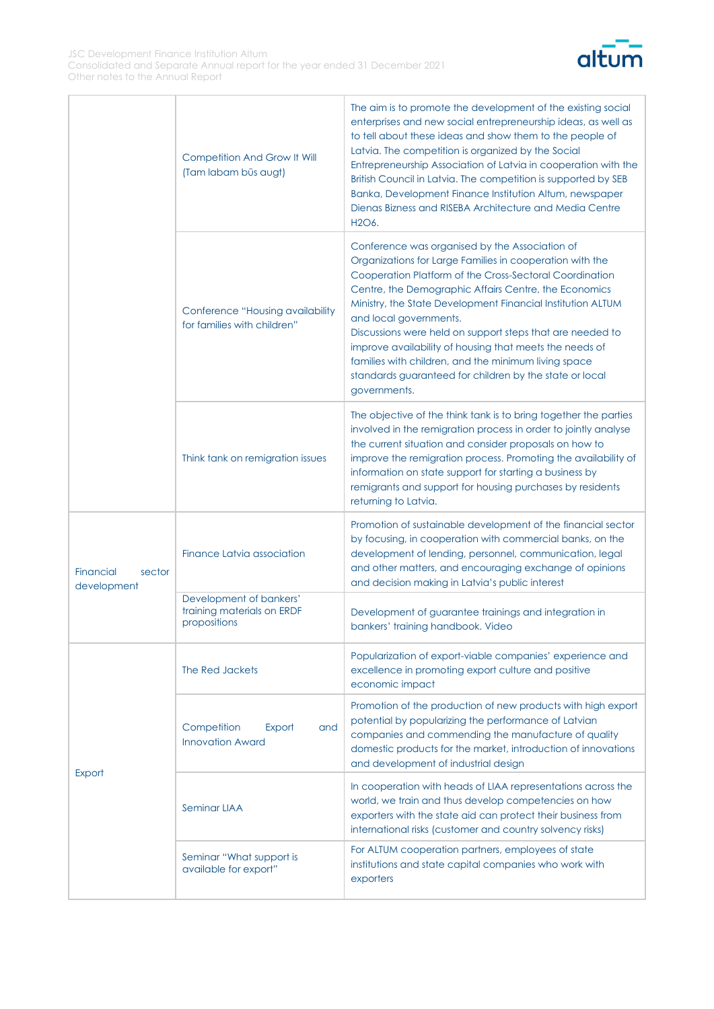

|                                    | Competition And Grow It Will<br>(Tam labam būs augt)                  | The aim is to promote the development of the existing social<br>enterprises and new social entrepreneurship ideas, as well as<br>to tell about these ideas and show them to the people of<br>Latvia. The competition is organized by the Social<br>Entrepreneurship Association of Latvia in cooperation with the<br>British Council in Latvia. The competition is supported by SEB<br>Banka, Development Finance Institution Altum, newspaper<br>Dienas Bizness and RISEBA Architecture and Media Centre<br>H2O6.                                                                 |
|------------------------------------|-----------------------------------------------------------------------|------------------------------------------------------------------------------------------------------------------------------------------------------------------------------------------------------------------------------------------------------------------------------------------------------------------------------------------------------------------------------------------------------------------------------------------------------------------------------------------------------------------------------------------------------------------------------------|
|                                    | Conference "Housing availability<br>for families with children"       | Conference was organised by the Association of<br>Organizations for Large Families in cooperation with the<br>Cooperation Platform of the Cross-Sectoral Coordination<br>Centre, the Demographic Affairs Centre, the Economics<br>Ministry, the State Development Financial Institution ALTUM<br>and local governments.<br>Discussions were held on support steps that are needed to<br>improve availability of housing that meets the needs of<br>families with children, and the minimum living space<br>standards guaranteed for children by the state or local<br>governments. |
|                                    | Think tank on remigration issues                                      | The objective of the think tank is to bring together the parties<br>involved in the remigration process in order to jointly analyse<br>the current situation and consider proposals on how to<br>improve the remigration process. Promoting the availability of<br>information on state support for starting a business by<br>remigrants and support for housing purchases by residents<br>returning to Latvia.                                                                                                                                                                    |
| Financial<br>sector<br>development | Finance Latvia association                                            | Promotion of sustainable development of the financial sector<br>by focusing, in cooperation with commercial banks, on the<br>development of lending, personnel, communication, legal<br>and other matters, and encouraging exchange of opinions<br>and decision making in Latvia's public interest                                                                                                                                                                                                                                                                                 |
|                                    | Development of bankers'<br>training materials on ERDF<br>propositions | Development of guarantee trainings and integration in<br>bankers' training handbook. Video                                                                                                                                                                                                                                                                                                                                                                                                                                                                                         |
|                                    | The Red Jackets                                                       | Popularization of export-viable companies' experience and<br>excellence in promoting export culture and positive<br>economic impact                                                                                                                                                                                                                                                                                                                                                                                                                                                |
|                                    | Competition<br>Export<br>and<br><b>Innovation Award</b>               | Promotion of the production of new products with high export<br>potential by popularizing the performance of Latvian<br>companies and commending the manufacture of quality<br>domestic products for the market, introduction of innovations<br>and development of industrial design                                                                                                                                                                                                                                                                                               |
| Export                             | <b>Seminar LIAA</b>                                                   | In cooperation with heads of LIAA representations across the<br>world, we train and thus develop competencies on how<br>exporters with the state aid can protect their business from<br>international risks (customer and country solvency risks)                                                                                                                                                                                                                                                                                                                                  |
|                                    | Seminar "What support is<br>available for export"                     | For ALTUM cooperation partners, employees of state<br>institutions and state capital companies who work with<br>exporters                                                                                                                                                                                                                                                                                                                                                                                                                                                          |